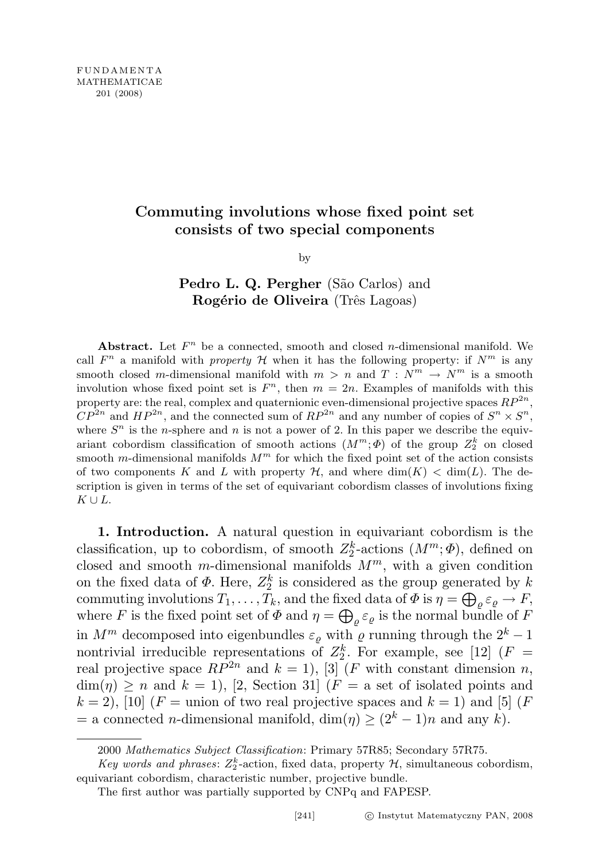## Commuting involutions whose fixed point set consists of two special components

by

## Pedro L. Q. Pergher (São Carlos) and Rogério de Oliveira (Três Lagoas)

Abstract. Let  $F<sup>n</sup>$  be a connected, smooth and closed *n*-dimensional manifold. We call  $F^n$  a manifold with property H when it has the following property: if  $N^m$  is any smooth closed m-dimensional manifold with  $m > n$  and  $T : N^m \to N^m$  is a smooth involution whose fixed point set is  $F<sup>n</sup>$ , then  $m = 2n$ . Examples of manifolds with this property are: the real, complex and quaternionic even-dimensional projective spaces  $RP^{2n}$ ,  $\mathbb{CP}^{2n}$  and  $HP^{2n}$ , and the connected sum of  $RP^{2n}$  and any number of copies of  $S^n \times S^n$ , where  $S<sup>n</sup>$  is the *n*-sphere and *n* is not a power of 2. In this paper we describe the equivariant cobordism classification of smooth actions  $(M^m; \Phi)$  of the group  $Z_2^k$  on closed smooth m-dimensional manifolds  $M<sup>m</sup>$  for which the fixed point set of the action consists of two components K and L with property  $\mathcal{H}$ , and where  $\dim(K) < \dim(L)$ . The description is given in terms of the set of equivariant cobordism classes of involutions fixing  $K \cup L$ .

1. Introduction. A natural question in equivariant cobordism is the classification, up to cobordism, of smooth  $Z_2^k$ -actions  $(M^m; \Phi)$ , defined on closed and smooth m-dimensional manifolds  $M^m$ , with a given condition on the fixed data of  $\Phi$ . Here,  $Z_2^k$  is considered as the group generated by k commuting involutions  $T_1, \ldots, T_k$ , and the fixed data of  $\Phi$  is  $\eta = \bigoplus_{\varrho} \varepsilon_{\varrho} \to F$ , where F is the fixed point set of  $\Phi$  and  $\eta = \bigoplus_{\varrho} \varepsilon_{\varrho}$  is the normal bundle of F in  $M^m$  decomposed into eigenbundles  $\varepsilon_{\varrho}$  with  $\varrho$  running through the  $2^k - 1$ nontrivial irreducible representations of  $Z_2^k$ . For example, see [12] ( $F =$ real projective space  $RP^{2n}$  and  $k = 1$ ), [3] (*F* with constant dimension *n*,  $\dim(\eta) \geq n$  and  $k = 1$ , [2, Section 31] (F = a set of isolated points and  $k = 2$ ), [10] (F = union of two real projective spaces and  $k = 1$ ) and [5] (F  $=$  a connected *n*-dimensional manifold, dim( $\eta$ )  $\geq (2^k - 1)n$  and any k).

<sup>2000</sup> Mathematics Subject Classification: Primary 57R85; Secondary 57R75.

Key words and phrases:  $Z_2^k$ -action, fixed data, property  $H$ , simultaneous cobordism, equivariant cobordism, characteristic number, projective bundle.

The first author was partially supported by CNPq and FAPESP.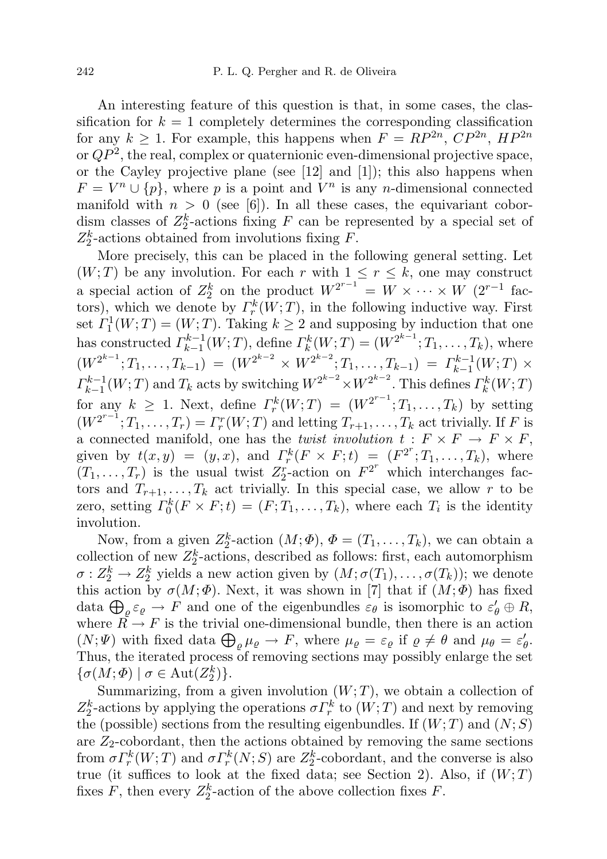An interesting feature of this question is that, in some cases, the classification for  $k = 1$  completely determines the corresponding classification for any  $k \geq 1$ . For example, this happens when  $F = RP^{2n}$ ,  $CP^{2n}$ ,  $HP^{2n}$ or  $QP^2$ , the real, complex or quaternionic even-dimensional projective space, or the Cayley projective plane (see  $[12]$  and  $[1]$ ); this also happens when  $F = V^n \cup \{p\}$ , where p is a point and  $\overline{V}^n$  is any n-dimensional connected manifold with  $n > 0$  (see [6]). In all these cases, the equivariant cobordism classes of  $Z_2^k$ -actions fixing F can be represented by a special set of  $Z_2^k$ -actions obtained from involutions fixing F.

More precisely, this can be placed in the following general setting. Let  $(W; T)$  be any involution. For each r with  $1 \leq r \leq k$ , one may construct a special action of  $Z_2^k$  on the product  $W^{2^{r-1}} = W \times \cdots \times W$  (2<sup>r-1</sup> factors), which we denote by  $\varGamma_r^k(W;T)$ , in the following inductive way. First set  $\Gamma_1^1(W;T) = (W;T)$ . Taking  $k \geq 2$  and supposing by induction that one has constructed  $\Gamma_{k-1}^{k-1}$  $K_{k-1}^{k-1}(W;T)$ , define  $\Gamma_k^k(W;T) = (W^{2^{k-1}};T_1,\ldots,T_k)$ , where  $(W^{2^{k-1}};T_1,\ldots,T_{k-1}) = (W^{2^{k-2}} \times W^{2^{k-2}};T_1,\ldots,T_{k-1}) = \Gamma_{k-1}^{k-1}$  $\chi_{k-1}^{k-1}(W;T) \times$  $\Gamma_{k-1}^{k-1}$  $\frac{k-1}{k-1}(W;T)$  and  $T_k$  acts by switching  $W^{2^{k-2}} \times W^{2^{k-2}}$ . This defines  $\Gamma_k^k(W;T)$ for any  $k \geq 1$ . Next, define  $\Gamma_r^k(W;T) = (W^{2^{r-1}};T_1,\ldots,T_k)$  by setting  $(W^{2^{r-1}};T_1,\ldots,T_r)=\Gamma_r^r(W;T)$  and letting  $T_{r+1},\ldots,T_k$  act trivially. If F is a connected manifold, one has the *twist involution*  $t : F \times F \to F \times F$ , given by  $t(x,y) = (y,x)$ , and  $\Gamma_r^k(F \times F; t) = (F^{2^r}; T_1, \ldots, T_k)$ , where  $(T_1, \ldots, T_r)$  is the usual twist  $Z_2^r$ -action on  $F^{2^r}$  which interchanges factors and  $T_{r+1}, \ldots, T_k$  act trivially. In this special case, we allow r to be zero, setting  $\Gamma_0^k(F \times F; t) = (F; T_1, \ldots, T_k)$ , where each  $T_i$  is the identity involution.

Now, from a given  $Z_2^k$ -action  $(M; \Phi)$ ,  $\Phi = (T_1, \ldots, T_k)$ , we can obtain a collection of new  $Z_2^k$ -actions, described as follows: first, each automorphism  $\sigma: Z_2^k \to Z_2^k$  yields a new action given by  $(M; \sigma(T_1), \ldots, \sigma(T_k))$ ; we denote this action by  $\sigma(M; \Phi)$ . Next, it was shown in [7] that if  $(M; \Phi)$  has fixed data  $\bigoplus_{\varrho} \varepsilon_{\varrho} \to F$  and one of the eigenbundles  $\varepsilon_{\theta}$  is isomorphic to  $\varepsilon'_{\theta} \oplus R$ , where  $R \to F$  is the trivial one-dimensional bundle, then there is an action  $(N; \Psi)$  with fixed data  $\bigoplus_{\varrho} \mu_{\varrho} \to F$ , where  $\mu_{\varrho} = \varepsilon_{\varrho}$  if  $\rho \neq \theta$  and  $\mu_{\theta} = \varepsilon_{\theta}'$ . Thus, the iterated process of removing sections may possibly enlarge the set  $\{\sigma(M; \Phi) \mid \sigma \in \text{Aut}(Z_2^k)\}.$ 

Summarizing, from a given involution  $(W; T)$ , we obtain a collection of  $Z_2^k$ -actions by applying the operations  $\sigma \Gamma_r^k$  to  $(W;T)$  and next by removing the (possible) sections from the resulting eigenbundles. If  $(W; T)$  and  $(N; S)$ are  $Z_2$ -cobordant, then the actions obtained by removing the same sections from  $\sigma \Gamma_r^k(W;T)$  and  $\sigma \Gamma_r^k(N;S)$  are  $Z_2^k$ -cobordant, and the converse is also true (it suffices to look at the fixed data; see Section 2). Also, if  $(W; T)$ fixes  $F$ , then every  $Z_2^k$ -action of the above collection fixes  $F$ .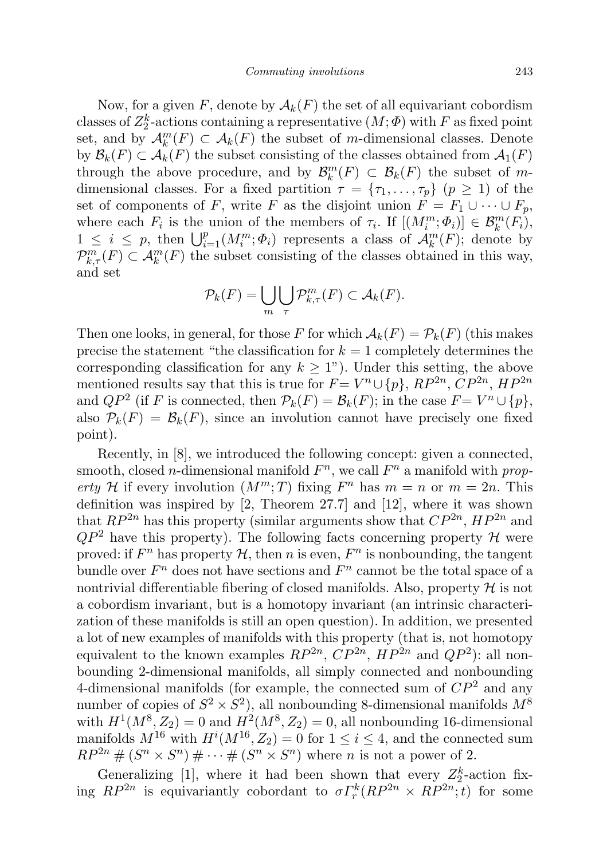Now, for a given F, denote by  $A_k(F)$  the set of all equivariant cobordism classes of  $Z_2^k$ -actions containing a representative  $(M; \Phi)$  with F as fixed point set, and by  $\mathcal{A}_k^m(F) \subset \mathcal{A}_k(F)$  the subset of m-dimensional classes. Denote by  $\mathcal{B}_k(F) \subset \mathcal{A}_k(F)$  the subset consisting of the classes obtained from  $\mathcal{A}_1(F)$ through the above procedure, and by  $\mathcal{B}_{k}^{m}(F) \subset \mathcal{B}_{k}(F)$  the subset of mdimensional classes. For a fixed partition  $\tau = {\tau_1, \ldots, \tau_p}$  ( $p \ge 1$ ) of the set of components of F, write F as the disjoint union  $F = F_1 \cup \cdots \cup F_p$ , where each  $F_i$  is the union of the members of  $\tau_i$ . If  $[(M_i^m; \Phi_i)] \in \mathcal{B}_k^m(F_i)$ ,  $1 \leq i \leq p$ , then  $\bigcup_{i=1}^p (M_i^m; \Phi_i)$  represents a class of  $\mathcal{A}_k^m(F)$ ; denote by  $\mathcal{P}_{k,\tau}^m(F) \subset \mathcal{A}_k^m(F)$  the subset consisting of the classes obtained in this way, and set

$$
\mathcal{P}_k(F) = \bigcup_m \bigcup_{\tau} \mathcal{P}^m_{k,\tau}(F) \subset \mathcal{A}_k(F).
$$

Then one looks, in general, for those F for which  $A_k(F) = \mathcal{P}_k(F)$  (this makes precise the statement "the classification for  $k = 1$  completely determines the corresponding classification for any  $k \geq 1$ "). Under this setting, the above mentioned results say that this is true for  $F = V^n \cup \{p\}$ ,  $RP^{2n}$ ,  $CP^{2n}$ ,  $HP^{2n}$ and  $QP^2$  (if F is connected, then  $\mathcal{P}_k(F) = \mathcal{B}_k(F)$ ; in the case  $F = V^n \cup \{p\}$ , also  $\mathcal{P}_k(F) = \mathcal{B}_k(F)$ , since an involution cannot have precisely one fixed point).

Recently, in [8], we introduced the following concept: given a connected, smooth, closed *n*-dimensional manifold  $F<sup>n</sup>$ , we call  $F<sup>n</sup>$  a manifold with property H if every involution  $(M^m;T)$  fixing  $F^n$  has  $m = n$  or  $m = 2n$ . This definition was inspired by [2, Theorem 27.7] and [12], where it was shown that  $RP^{2n}$  has this property (similar arguments show that  $CP^{2n}$ ,  $HP^{2n}$  and  $QP^2$  have this property). The following facts concerning property H were proved: if  $F^n$  has property  $H$ , then n is even,  $F^n$  is nonbounding, the tangent bundle over  $F<sup>n</sup>$  does not have sections and  $F<sup>n</sup>$  cannot be the total space of a nontrivial differentiable fibering of closed manifolds. Also, property  $\mathcal H$  is not a cobordism invariant, but is a homotopy invariant (an intrinsic characterization of these manifolds is still an open question). In addition, we presented a lot of new examples of manifolds with this property (that is, not homotopy equivalent to the known examples  $RP^{2n}$ ,  $CP^{2n}$ ,  $HP^{2n}$  and  $QP^2$ ): all nonbounding 2-dimensional manifolds, all simply connected and nonbounding 4-dimensional manifolds (for example, the connected sum of  $\mathbb{CP}^2$  and any number of copies of  $S^2 \times S^2$ , all nonbounding 8-dimensional manifolds  $M^8$ with  $H^1(M^8, Z_2) = 0$  and  $H^2(M^8, Z_2) = 0$ , all nonbounding 16-dimensional manifolds  $M^{16}$  with  $H^{i}(M^{16}, Z_2) = 0$  for  $1 \leq i \leq 4$ , and the connected sum  $RP^{2n}$  #  $(S^n \times S^n)$  #  $\cdots$  #  $(S^n \times S^n)$  where *n* is not a power of 2.

Generalizing [1], where it had been shown that every  $Z_2^k$ -action fixing  $RP^{2n}$  is equivariantly cobordant to  $\sigma \Gamma_r^k(RP^{2n} \times RP^{2n};t)$  for some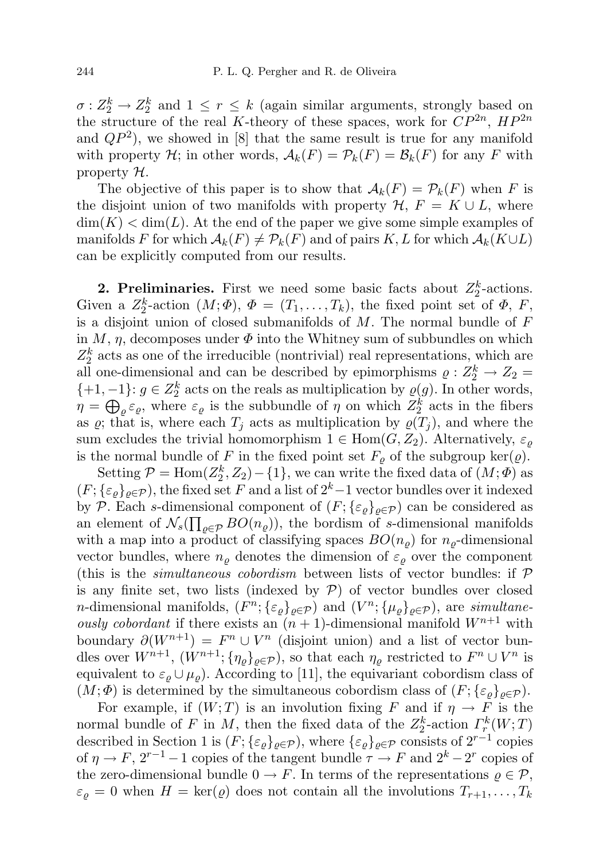$\sigma: Z_2^k \to Z_2^k$  and  $1 \leq r \leq k$  (again similar arguments, strongly based on the structure of the real K-theory of these spaces, work for  $\mathbb{CP}^{2n}$ ,  $\mathbb{HP}^{2n}$ and  $QP^2$ ), we showed in [8] that the same result is true for any manifold with property H; in other words,  $\mathcal{A}_k(F) = \mathcal{P}_k(F) = \mathcal{B}_k(F)$  for any F with property  $\mathcal{H}$ .

The objective of this paper is to show that  $\mathcal{A}_k(F) = \mathcal{P}_k(F)$  when F is the disjoint union of two manifolds with property  $\mathcal{H}, F = K \cup L$ , where  $\dim(K) < \dim(L)$ . At the end of the paper we give some simple examples of manifolds F for which  $\mathcal{A}_k(F) \neq \mathcal{P}_k(F)$  and of pairs K, L for which  $\mathcal{A}_k(K \cup L)$ can be explicitly computed from our results.

**2. Preliminaries.** First we need some basic facts about  $Z_2^k$ -actions. Given a  $Z_2^k$ -action  $(M; \Phi)$ ,  $\Phi = (T_1, \ldots, T_k)$ , the fixed point set of  $\Phi$ , F, is a disjoint union of closed submanifolds of  $M$ . The normal bundle of  $F$ in  $M$ ,  $\eta$ , decomposes under  $\Phi$  into the Whitney sum of subbundles on which  $Z_2^k$  acts as one of the irreducible (nontrivial) real representations, which are all one-dimensional and can be described by epimorphisms  $\rho: Z_2^k \to Z_2 =$  $\{+1, -1\}$ :  $g \in Z_2^k$  acts on the reals as multiplication by  $\varrho(g)$ . In other words,  $\eta = \bigoplus_{\varrho} \varepsilon_{\varrho}$ , where  $\varepsilon_{\varrho}$  is the subbundle of  $\eta$  on which  $Z_2^k$  acts in the fibers as  $\varrho$ ; that is, where each  $T_j$  acts as multiplication by  $\varrho(T_j)$ , and where the sum excludes the trivial homomorphism  $1 \in \text{Hom}(G, Z_2)$ . Alternatively,  $\varepsilon_{\rho}$ is the normal bundle of F in the fixed point set  $F_{\rho}$  of the subgroup ker( $\varrho$ ).

Setting  $\mathcal{P} = \text{Hom}(Z_2^k, Z_2) - \{1\}$ , we can write the fixed data of  $(M; \Phi)$  as  $(F; {\{\varepsilon}_o\}_{o \in \mathcal{P}})$ , the fixed set F and a list of  $2^k-1$  vector bundles over it indexed by P. Each s-dimensional component of  $(F; {\{\varepsilon_{\rho}\}}_{\rho \in \mathcal{P}})$  can be considered as an element of  $\mathcal{N}_s(\prod_{\varrho \in \mathcal{P}}BO(n_{\varrho}))$ , the bordism of s-dimensional manifolds with a map into a product of classifying spaces  $BO(n_{\rho})$  for  $n_{\rho}$ -dimensional vector bundles, where  $n_{\rho}$  denotes the dimension of  $\varepsilon_{\rho}$  over the component (this is the *simultaneous cobordism* between lists of vector bundles: if  $P$ is any finite set, two lists (indexed by  $P$ ) of vector bundles over closed *n*-dimensional manifolds,  $(F^n; {\{\varepsilon_\varrho\}}_{\varrho \in \mathcal{P}})$  and  $(V^n; {\{\mu_\varrho\}}_{\varrho \in \mathcal{P}})$ , are simultaneously cobordant if there exists an  $(n + 1)$ -dimensional manifold  $W^{n+1}$  with boundary  $\partial(W^{n+1}) = F^n \cup V^n$  (disjoint union) and a list of vector bundles over  $W^{n+1}$ ,  $(W^{n+1}; \{\eta_{\varrho}\}_{{\varrho}\in\mathcal{P}})$ , so that each  $\eta_{\varrho}$  restricted to  $F^n \cup V^n$  is equivalent to  $\varepsilon_{\rho} \cup \mu_{\rho}$ ). According to [11], the equivariant cobordism class of  $(M; \Phi)$  is determined by the simultaneous cobordism class of  $(F; \{\varepsilon_\varrho\}_{\varrho \in \mathcal{P}})$ .

For example, if  $(W; T)$  is an involution fixing F and if  $\eta \to F$  is the normal bundle of F in M, then the fixed data of the  $Z_2^k$ -action  $\Gamma_r^k(W;T)$ described in Section 1 is  $(F; {\{\varepsilon_\varrho\}}_{\varrho \in \mathcal{P}})$ , where  ${\{\varepsilon_\varrho\}}_{\varrho \in \mathcal{P}}$  consists of  $2^{r-1}$  copies of  $\eta \to F$ ,  $2^{r-1}-1$  copies of the tangent bundle  $\tau \to F$  and  $2^k-2^r$  copies of the zero-dimensional bundle  $0 \to F$ . In terms of the representations  $\rho \in \mathcal{P}$ ,  $\varepsilon_{\rho} = 0$  when  $H = \text{ker}(\rho)$  does not contain all the involutions  $T_{r+1}, \ldots, T_k$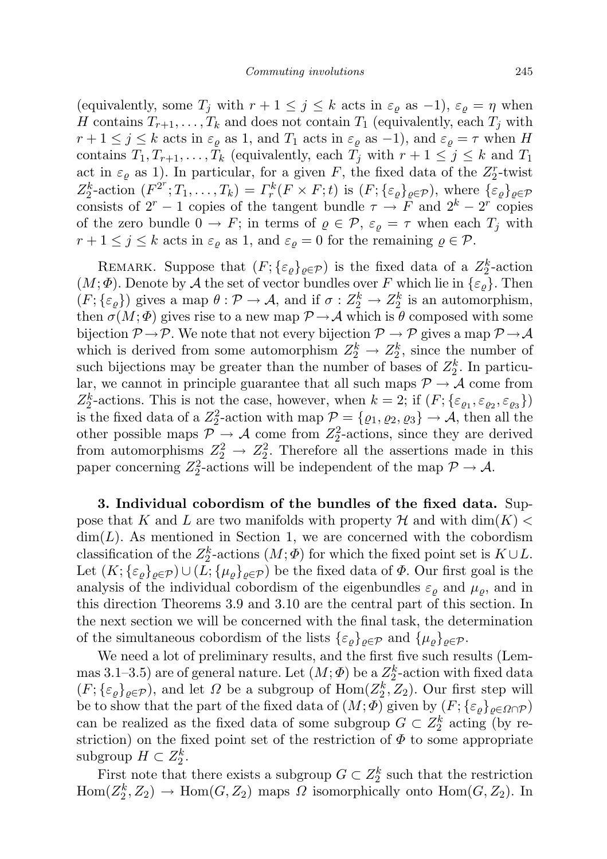(equivalently, some  $T_j$  with  $r + 1 \leq j \leq k$  acts in  $\varepsilon_\rho$  as  $-1$ ),  $\varepsilon_\rho = \eta$  when H contains  $T_{r+1}, \ldots, T_k$  and does not contain  $T_1$  (equivalently, each  $T_i$  with  $r+1 \leq j \leq k$  acts in  $\varepsilon_{\rho}$  as 1, and  $T_1$  acts in  $\varepsilon_{\rho}$  as -1), and  $\varepsilon_{\rho} = \tau$  when H contains  $T_1, T_{r+1}, \ldots, T_k$  (equivalently, each  $T_j$  with  $r+1 \leq j \leq k$  and  $T_1$ act in  $\varepsilon_{\varrho}$  as 1). In particular, for a given F, the fixed data of the  $Z_2^r$ -twist  $Z_2^k$ -action  $(F^{2^r}; T_1, \ldots, T_k) = \Gamma_r^k(F \times F; t)$  is  $(F; {\{\varepsilon_\varrho\}}_{\varrho \in \mathcal{P}})$ , where  ${\{\varepsilon_\varrho\}}_{\varrho \in \mathcal{P}}$ consists of  $2^r - 1$  copies of the tangent bundle  $\tau \to F$  and  $2^k - 2^r$  copies of the zero bundle  $0 \to F$ ; in terms of  $\rho \in \mathcal{P}$ ,  $\varepsilon_{\rho} = \tau$  when each  $T_j$  with  $r+1 \leq j \leq k$  acts in  $\varepsilon_{\varrho}$  as 1, and  $\varepsilon_{\varrho} = 0$  for the remaining  $\varrho \in \mathcal{P}$ .

REMARK. Suppose that  $(F; {\{\varepsilon_{\varrho}\}}_{\varrho \in \mathcal{P}})$  is the fixed data of a  $Z_2^k$ -action  $(M; \Phi)$ . Denote by A the set of vector bundles over F which lie in  $\{\varepsilon_\varrho\}$ . Then  $(F; {\varepsilon_\varrho})$  gives a map  $\theta : \mathcal{P} \to \mathcal{A}$ , and if  $\sigma : Z_2^k \to Z_2^k$  is an automorphism, then  $\sigma(M; \Phi)$  gives rise to a new map  $\mathcal{P} \rightarrow \mathcal{A}$  which is  $\theta$  composed with some bijection  $\mathcal{P} \to \mathcal{P}$ . We note that not every bijection  $\mathcal{P} \to \mathcal{P}$  gives a map  $\mathcal{P} \to \mathcal{A}$ which is derived from some automorphism  $Z_2^k \to Z_2^k$ , since the number of such bijections may be greater than the number of bases of  $Z_2^k$ . In particular, we cannot in principle guarantee that all such maps  $\mathcal{P} \to \mathcal{A}$  come from  $Z_2^k$ -actions. This is not the case, however, when  $k = 2$ ; if  $(F; {\varepsilon}_{\varrho_1}, {\varepsilon}_{\varrho_2}, {\varepsilon}_{\varrho_3})$ is the fixed data of a  $Z_2^2$ -action with map  $\mathcal{P} = \{\varrho_1, \varrho_2, \varrho_3\} \to \mathcal{A}$ , then all the other possible maps  $\mathcal{P} \rightarrow \mathcal{A}$  come from  $Z_2^2$ -actions, since they are derived from automorphisms  $Z_2^2 \rightarrow Z_2^2$ . Therefore all the assertions made in this paper concerning  $Z_2^2$ -actions will be independent of the map  $\mathcal{P} \to \mathcal{A}$ .

3. Individual cobordism of the bundles of the fixed data. Suppose that K and L are two manifolds with property H and with  $\dim(K)$  $\dim(L)$ . As mentioned in Section 1, we are concerned with the cobordism classification of the  $Z_2^k$ -actions  $(M; \Phi)$  for which the fixed point set is  $K \cup L$ . Let  $(K; {\{\varepsilon}_\rho\}_{\rho \in \mathcal{P}}) \cup (L; {\{\mu_\rho\}}_{\rho \in \mathcal{P}})$  be the fixed data of  $\Phi$ . Our first goal is the analysis of the individual cobordism of the eigenbundles  $\varepsilon_{\rho}$  and  $\mu_{\rho}$ , and in this direction Theorems 3.9 and 3.10 are the central part of this section. In the next section we will be concerned with the final task, the determination of the simultaneous cobordism of the lists  $\{\varepsilon_{\rho}\}_{{\rho\in\mathcal{P}}}$  and  $\{\mu_{\rho}\}_{{\rho\in\mathcal{P}}}$ .

We need a lot of preliminary results, and the first five such results (Lemmas 3.1–3.5) are of general nature. Let  $(M; \Phi)$  be a  $Z_2^k$ -action with fixed data  $(F; {\{\varepsilon_\varrho\}}_{\varrho \in \mathcal{P}})$ , and let  $\varOmega$  be a subgroup of  $\text{Hom}(Z_2^k, Z_2)$ . Our first step will be to show that the part of the fixed data of  $(M; \Phi)$  given by  $(F; {\{\varepsilon_{\rho}\}}_{\rho \in \Omega \cap \mathcal{P}})$ can be realized as the fixed data of some subgroup  $G \subset Z_2^k$  acting (by restriction) on the fixed point set of the restriction of  $\Phi$  to some appropriate subgroup  $H \subset Z_2^k$ .

First note that there exists a subgroup  $G \subset Z_2^k$  such that the restriction  $\text{Hom}(Z_2^k, Z_2) \to \text{Hom}(G, Z_2)$  maps  $\Omega$  isomorphically onto  $\text{Hom}(G, Z_2)$ . In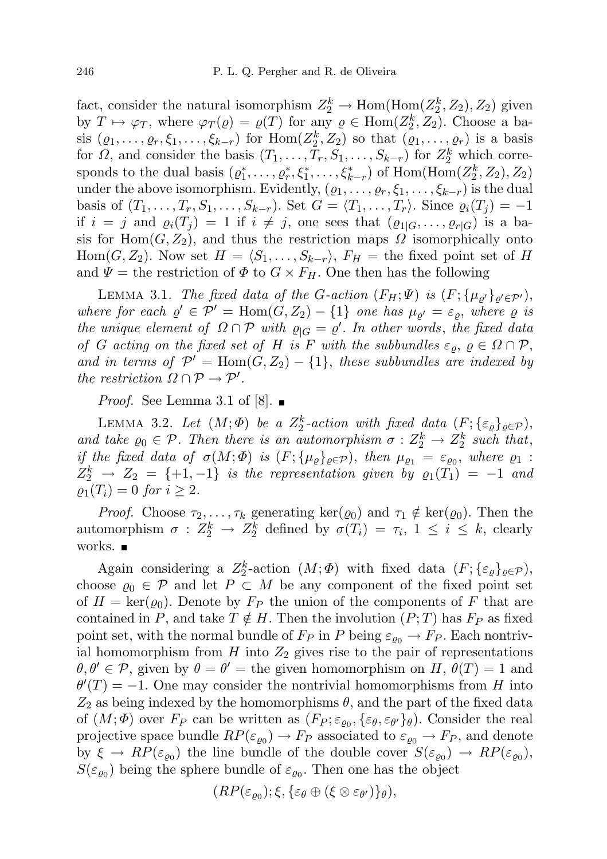fact, consider the natural isomorphism  $Z_2^k \to \text{Hom}(\text{Hom}(Z_2^k, Z_2), Z_2)$  given by  $T \mapsto \varphi_T$ , where  $\varphi_T(\varrho) = \varrho(T)$  for any  $\varrho \in \text{Hom}(Z_2^k, Z_2)$ . Choose a basis  $(\varrho_1,\ldots,\varrho_r,\xi_1,\ldots,\xi_{k-r})$  for  $\text{Hom}(Z_2^k,Z_2)$  so that  $(\varrho_1,\ldots,\varrho_r)$  is a basis for  $\Omega$ , and consider the basis  $(T_1, \ldots, T_r, S_1, \ldots, S_{k-r})$  for  $Z_2^k$  which corresponds to the dual basis  $(\varrho_1^*, \ldots, \varrho_r^*, \xi_1^*, \ldots, \xi_{k-r}^*)$  of  $\text{Hom}(\text{Hom}(Z_2^k, Z_2), Z_2)$ under the above isomorphism. Evidently,  $(\varrho_1, \ldots, \varrho_r, \xi_1, \ldots, \xi_{k-r})$  is the dual basis of  $(T_1, \ldots, T_r, S_1, \ldots, S_{k-r})$ . Set  $G = \langle T_1, \ldots, T_r \rangle$ . Since  $\varrho_i(T_j) = -1$ if  $i = j$  and  $\varrho_i(T_i) = 1$  if  $i \neq j$ , one sees that  $(\varrho_{1|G}, \ldots, \varrho_{r|G})$  is a basis for Hom $(G, Z_2)$ , and thus the restriction maps  $\Omega$  isomorphically onto  $Hom(G, Z_2)$ . Now set  $H = \langle S_1, \ldots, S_{k-r} \rangle$ ,  $F_H =$  the fixed point set of H and  $\Psi =$  the restriction of  $\Phi$  to  $G \times F_H$ . One then has the following

LEMMA 3.1. The fixed data of the G-action  $(F_H; \Psi)$  is  $(F; {\mu_{\varrho'}}_{{\varrho'} \in {\mathcal{P'}}})$ , where for each  $\varrho' \in \mathcal{P}' = \text{Hom}(G, Z_2) - \{1\}$  one has  $\mu_{\varrho'} = \varepsilon_{\varrho}$ , where  $\varrho$  is the unique element of  $\Omega \cap \mathcal{P}$  with  $\varrho_{|G} = \varrho'$ . In other words, the fixed data of G acting on the fixed set of H is F with the subbundles  $\varepsilon_{\rho}, \, \rho \in \Omega \cap \mathcal{P},$ and in terms of  $\mathcal{P}' = \text{Hom}(G, Z_2) - \{1\}$ , these subbundles are indexed by the restriction  $\Omega \cap \mathcal{P} \to \mathcal{P}'$ .

*Proof.* See Lemma 3.1 of [8].  $\blacksquare$ 

LEMMA 3.2. Let  $(M; \Phi)$  be a  $Z_2^k$ -action with fixed data  $(F; {\{\varepsilon_{\varrho}\}}_{\varrho \in \mathcal{P}})$ , and take  $\varrho_0 \in \mathcal{P}$ . Then there is an automorphism  $\sigma : Z_2^k \to Z_2^k$  such that, if the fixed data of  $\sigma(M; \Phi)$  is  $(F; {\mu_\varrho}_{\varrho \in \mathcal{P}})$ , then  $\mu_{\varrho_1} = \varepsilon_{\varrho_0}$ , where  $\varrho_1$ :  $Z_2^k \rightharpoonup Z_2 = \{+1, -1\}$  is the representation given by  $\varrho_1(T_1) = -1$  and  $\rho_1(T_i) = 0$  for  $i \geq 2$ .

*Proof.* Choose  $\tau_2, \ldots, \tau_k$  generating ker $(\varrho_0)$  and  $\tau_1 \notin \text{ker}(\varrho_0)$ . Then the automorphism  $\sigma : Z_2^k \to Z_2^k$  defined by  $\sigma(T_i) = \tau_i$ ,  $1 \leq i \leq k$ , clearly works. ■

Again considering a  $Z_2^k$ -action  $(M; \Phi)$  with fixed data  $(F; {\{\varepsilon_{\varrho}\}}_{\varrho \in \mathcal{P}})$ , choose  $\varrho_0 \in \mathcal{P}$  and let  $P \subset M$  be any component of the fixed point set of  $H = \text{ker}(\varrho_0)$ . Denote by  $F_P$  the union of the components of F that are contained in P, and take  $T \notin H$ . Then the involution  $(P; T)$  has  $F_P$  as fixed point set, with the normal bundle of  $F_P$  in P being  $\varepsilon_{\varrho_0} \to F_P$ . Each nontrivial homomorphism from H into  $Z_2$  gives rise to the pair of representations  $\theta, \theta' \in \mathcal{P}$ , given by  $\theta = \theta'$  = the given homomorphism on H,  $\theta(T) = 1$  and  $\theta'(T) = -1$ . One may consider the nontrivial homomorphisms from H into  $Z_2$  as being indexed by the homomorphisms  $\theta$ , and the part of the fixed data of  $(M, \Phi)$  over  $F_P$  can be written as  $(F_P; \varepsilon_{\varrho_0}, {\{\varepsilon_{\theta}, \varepsilon_{\theta'}}\}_{\theta})$ . Consider the real projective space bundle  $RP(\varepsilon_{\varrho_0}) \to F_P$  associated to  $\varepsilon_{\varrho_0} \to F_P$ , and denote by  $\xi \to RP(\varepsilon_{\varrho_0})$  the line bundle of the double cover  $S(\varepsilon_{\varrho_0}) \to RP(\varepsilon_{\varrho_0}),$  $S(\varepsilon_{\varrho_0})$  being the sphere bundle of  $\varepsilon_{\varrho_0}$ . Then one has the object

$$
(RP(\varepsilon_{\varrho_0});\xi,\{\varepsilon_\theta\oplus(\xi\otimes\varepsilon_{\theta'})\}_\theta),
$$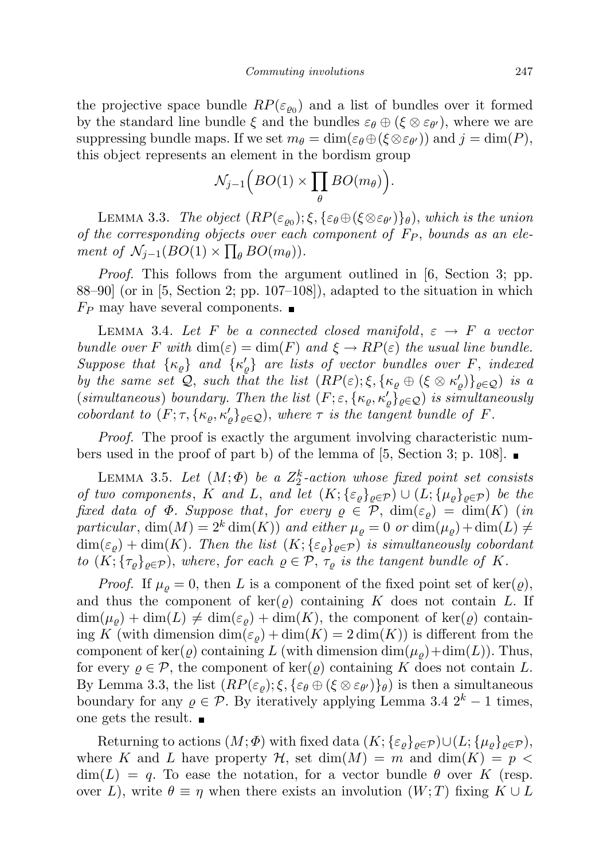the projective space bundle  $RP(\varepsilon_{\varrho_0})$  and a list of bundles over it formed by the standard line bundle  $\xi$  and the bundles  $\varepsilon_{\theta} \oplus (\xi \otimes \varepsilon_{\theta'})$ , where we are suppressing bundle maps. If we set  $m_{\theta} = \dim(\varepsilon_{\theta} \oplus (\xi \otimes \varepsilon_{\theta'}))$  and  $j = \dim(P)$ , this object represents an element in the bordism group

$$
\mathcal{N}_{j-1}\Big(BO(1)\times\prod_{\theta}BO(m_{\theta})\Big).
$$

LEMMA 3.3. The object  $(RP(\varepsilon_{\varrho_0}); \xi, {\varepsilon_{\theta} \oplus (\xi \otimes \varepsilon_{\theta'})\}_{\theta})$ , which is the union of the corresponding objects over each component of  $F_P$ , bounds as an element of  $\mathcal{N}_{j-1}(BO(1) \times \prod_{\theta} BO(m_{\theta}))$ .

Proof. This follows from the argument outlined in [6, Section 3; pp. 88–90] (or in [5, Section 2; pp. 107–108]), adapted to the situation in which  $F_P$  may have several components.  $\blacksquare$ 

LEMMA 3.4. Let F be a connected closed manifold,  $\varepsilon \rightarrow F$  a vector bundle over F with  $\dim(\varepsilon) = \dim(F)$  and  $\xi \to RP(\varepsilon)$  the usual line bundle. Suppose that  $\{\kappa_{\varrho}\}\$  and  $\{\kappa_{\varrho}'\}\$  are lists of vector bundles over F, indexed by the same set  $\mathcal{Q}$ , such that the list  $(RP(\varepsilon); \xi, {\kappa_\varrho \oplus (\xi \otimes \kappa'_\varrho)}_{\varrho \in \mathcal{Q}})$  is a (simultaneous) boundary. Then the list  $(F; \varepsilon, \{\kappa_\varrho, \kappa'_\varrho\}_{\varrho \in \mathcal{Q}})$  is simultaneously cobordant to  $(F; \tau, \{\kappa_\varrho, \kappa'_\varrho\}_{\varrho \in \mathcal{Q}})$ , where  $\tau$  is the tangent bundle of F.

Proof. The proof is exactly the argument involving characteristic numbers used in the proof of part b) of the lemma of [5, Section 3; p. 108].  $\blacksquare$ 

LEMMA 3.5. Let  $(M; \Phi)$  be a  $Z_2^k$ -action whose fixed point set consists of two components, K and L, and let  $(K; {\{\varepsilon_{\rho}\}}_{\rho \in \mathcal{P}}) \cup (L; {\{\mu_{\rho}\}}_{\rho \in \mathcal{P}})$  be the fixed data of  $\Phi$ . Suppose that, for every  $\rho \in \mathcal{P}$ ,  $\dim(\varepsilon_{\rho}) = \dim(K)$  (in particular,  $\dim(M) = 2^k \dim(K)$  and either  $\mu_{\varrho} = 0$  or  $\dim(\mu_{\varrho}) + \dim(L) \neq 0$  $\dim(\varepsilon_{\rho}) + \dim(K)$ . Then the list  $(K; {\varepsilon_{\varrho}}_{\varrho \in \mathcal{P}})$  is simultaneously cobordant to  $(K; {\{\tau_{\varrho}\}}_{\varrho \in \mathcal{P}})$ , where, for each  $\varrho \in \mathcal{P}, {\tau_{\varrho}}$  is the tangent bundle of K.

*Proof.* If  $\mu_{\rho} = 0$ , then L is a component of the fixed point set of ker( $\varrho$ ), and thus the component of  $\ker(\varrho)$  containing K does not contain L. If  $\dim(\mu_{\rho}) + \dim(L) \neq \dim(\varepsilon_{\rho}) + \dim(K)$ , the component of ker( $\varrho$ ) containing K (with dimension  $\dim(\varepsilon_{\rho}) + \dim(K) = 2 \dim(K)$ ) is different from the component of ker( $\varrho$ ) containing L (with dimension  $\dim(\mu_{\rho})+\dim(L)$ ). Thus, for every  $\rho \in \mathcal{P}$ , the component of ker( $\rho$ ) containing K does not contain L. By Lemma 3.3, the list  $(RP(\varepsilon_{\varrho}); \xi, {\{\varepsilon_{\theta} \oplus (\xi \otimes \varepsilon_{\theta'})\}_{\theta})}$  is then a simultaneous boundary for any  $\varrho \in \mathcal{P}$ . By iteratively applying Lemma 3.4  $2^k - 1$  times, one gets the result.

Returning to actions  $(M; \Phi)$  with fixed data  $(K; {\{\varepsilon_{\rho}\}}_{\rho \in \mathcal{P}}) \cup (L; {\{\mu_{\rho}\}}_{\rho \in \mathcal{P}}),$ where K and L have property  $\mathcal{H}$ , set  $\dim(M) = m$  and  $\dim(K) = p$  $\dim(L) = q$ . To ease the notation, for a vector bundle  $\theta$  over K (resp. over L), write  $\theta \equiv \eta$  when there exists an involution  $(W; T)$  fixing  $K \cup L$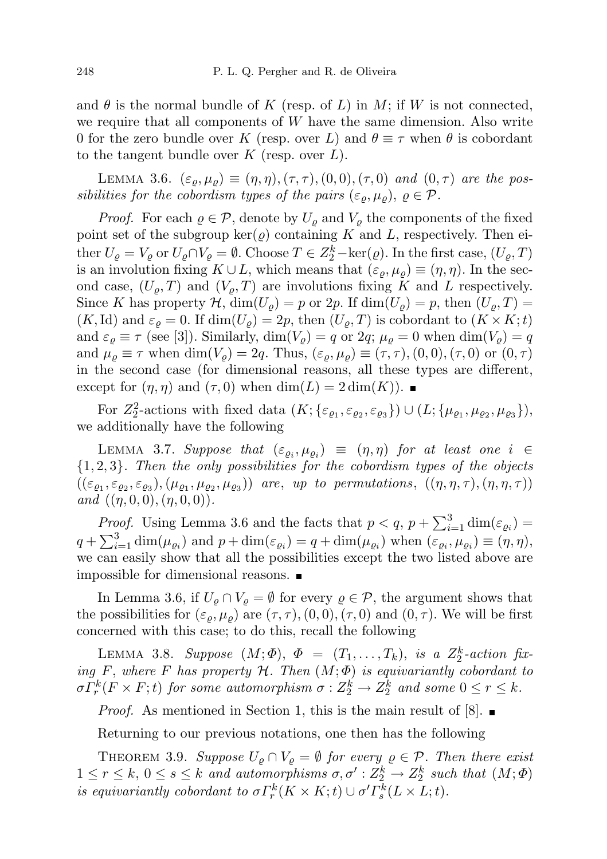and  $\theta$  is the normal bundle of K (resp. of L) in M; if W is not connected, we require that all components of  $W$  have the same dimension. Also write 0 for the zero bundle over K (resp. over L) and  $\theta \equiv \tau$  when  $\theta$  is cobordant to the tangent bundle over  $K$  (resp. over  $L$ ).

LEMMA 3.6.  $(\varepsilon_{\varrho}, \mu_{\varrho}) \equiv (\eta, \eta), (\tau, \tau), (0, 0), (\tau, 0)$  and  $(0, \tau)$  are the possibilities for the cobordism types of the pairs  $(\varepsilon_{\rho}, \mu_{\rho}), \rho \in \mathcal{P}$ .

*Proof.* For each  $\varrho \in \mathcal{P}$ , denote by  $U_{\varrho}$  and  $V_{\varrho}$  the components of the fixed point set of the subgroup  $\ker(\varrho)$  containing K and L, respectively. Then either  $U_{\varrho} = V_{\varrho}$  or  $U_{\varrho} \cap V_{\varrho} = \emptyset$ . Choose  $T \in Z_2^k - \text{ker}(\varrho)$ . In the first case,  $(U_{\varrho}, T)$ is an involution fixing  $K \cup L$ , which means that  $(\varepsilon_{\rho}, \mu_{\rho}) \equiv (\eta, \eta)$ . In the second case,  $(U_{\rho}, T)$  and  $(V_{\rho}, T)$  are involutions fixing K and L respectively. Since K has property H,  $\dim(U_{\rho}) = p$  or  $2p$ . If  $\dim(U_{\rho}) = p$ , then  $(U_{\rho}, T) =$  $(K, Id)$  and  $\varepsilon_{\rho} = 0$ . If  $\dim(U_{\rho}) = 2p$ , then  $(U_{\rho}, T)$  is cobordant to  $(K \times K; t)$ and  $\varepsilon_{\rho} \equiv \tau$  (see [3]). Similarly,  $\dim(V_{\rho}) = q$  or 2q;  $\mu_{\rho} = 0$  when  $\dim(V_{\rho}) = q$ and  $\mu_{\rho} \equiv \tau$  when  $\dim(V_{\rho}) = 2q$ . Thus,  $(\varepsilon_{\rho}, \mu_{\rho}) \equiv (\tau, \tau), (0, 0), (\tau, 0)$  or  $(0, \tau)$ in the second case (for dimensional reasons, all these types are different, except for  $(\eta, \eta)$  and  $(\tau, 0)$  when  $\dim(L) = 2 \dim(K)$ .

For  $Z_2^2$ -actions with fixed data  $(K; {\{\varepsilon_{\varrho_1}, \varepsilon_{\varrho_2}, \varepsilon_{\varrho_3}\}}) \cup (L; {\{\mu_{\varrho_1}, \mu_{\varrho_2}, \mu_{\varrho_3}\}})$ , we additionally have the following

LEMMA 3.7. Suppose that  $(\varepsilon_{\varrho_i}, \mu_{\varrho_i}) \equiv (\eta, \eta)$  for at least one  $i \in$  ${1, 2, 3}$ . Then the only possibilities for the cobordism types of the objects  $((\varepsilon_{\varrho_1}, \varepsilon_{\varrho_2}, \varepsilon_{\varrho_3}), (\mu_{\varrho_1}, \mu_{\varrho_2}, \mu_{\varrho_3}))$  are, up to permutations,  $((\eta, \eta, \tau), (\eta, \eta, \tau))$ and  $((\eta, 0, 0), (\eta, 0, 0))$ .

*Proof.* Using Lemma 3.6 and the facts that  $p < q$ ,  $p + \sum_{i=1}^{3} \dim(\varepsilon_{\varrho_i}) =$  $q + \sum_{i=1}^{3} \dim(\mu_{\varrho_i})$  and  $p + \dim(\varepsilon_{\varrho_i}) = q + \dim(\mu_{\varrho_i})$  when  $(\varepsilon_{\varrho_i}, \mu_{\varrho_i}) \equiv (\eta, \eta)$ , we can easily show that all the possibilities except the two listed above are impossible for dimensional reasons.

In Lemma 3.6, if  $U_{\varrho} \cap V_{\varrho} = \emptyset$  for every  $\varrho \in \mathcal{P}$ , the argument shows that the possibilities for  $(\varepsilon_{\rho}, \mu_{\rho})$  are  $(\tau, \tau), (0, 0), (\tau, 0)$  and  $(0, \tau)$ . We will be first concerned with this case; to do this, recall the following

LEMMA 3.8. Suppose  $(M; \Phi)$ ,  $\Phi = (T_1, \ldots, T_k)$ , is a  $Z_2^k$ -action fixing F, where F has property  $H$ . Then  $(M; \Phi)$  is equivariantly cobordant to  $\sigma\varGamma_r^k(F\times F;t)$  for some automorphism  $\sigma:Z_2^k\to Z_2^k$  and some  $0\leq r\leq k.$ 

*Proof.* As mentioned in Section 1, this is the main result of  $[8]$ .

Returning to our previous notations, one then has the following

THEOREM 3.9. Suppose  $U_{\rho} \cap V_{\rho} = \emptyset$  for every  $\rho \in \mathcal{P}$ . Then there exist  $1 \leq r \leq k, 0 \leq s \leq k$  and automorphisms  $\sigma, \sigma' : Z_2^k \to Z_2^k$  such that  $(M; \Phi)$ is equivariantly cobordant to  $\sigma \Gamma_r^k(K \times K; t) \cup \sigma' \Gamma_s^k(L \times L; t)$ .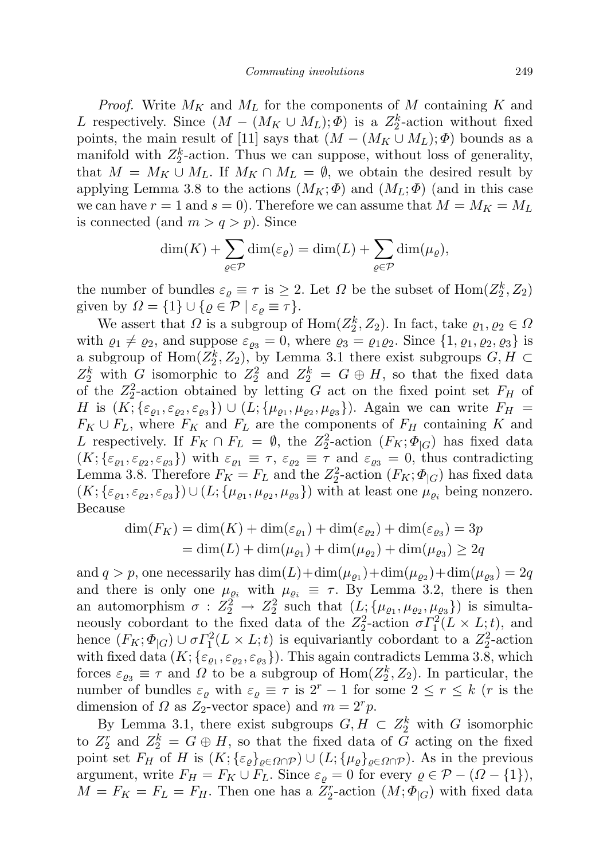*Proof.* Write  $M_K$  and  $M_L$  for the components of M containing K and L respectively. Since  $(M - (M_K \cup M_L); \Phi)$  is a  $Z_2^k$ -action without fixed points, the main result of [11] says that  $(M - (M_K \cup M_L); \Phi)$  bounds as a manifold with  $Z_2^k$ -action. Thus we can suppose, without loss of generality, that  $M = M_K \cup M_L$ . If  $M_K \cap M_L = \emptyset$ , we obtain the desired result by applying Lemma 3.8 to the actions  $(M_K; \Phi)$  and  $(M_L; \Phi)$  (and in this case we can have  $r = 1$  and  $s = 0$ ). Therefore we can assume that  $M = M_K = M_L$ is connected (and  $m > q > p$ ). Since

$$
\dim(K) + \sum_{\varrho \in \mathcal{P}} \dim(\varepsilon_{\varrho}) = \dim(L) + \sum_{\varrho \in \mathcal{P}} \dim(\mu_{\varrho}),
$$

the number of bundles  $\varepsilon_{\varrho} \equiv \tau$  is  $\geq 2$ . Let  $\varOmega$  be the subset of  $\text{Hom}(Z_2^k, Z_2)$ given by  $\Omega = \{1\} \cup \{\varrho \in \mathcal{P} \mid \varepsilon_{\varrho} \equiv \tau\}.$ 

We assert that  $\Omega$  is a subgroup of  $\text{Hom}(Z_2^k, Z_2)$ . In fact, take  $\varrho_1, \varrho_2 \in \Omega$ with  $\varrho_1 \neq \varrho_2$ , and suppose  $\varepsilon_{\varrho_3} = 0$ , where  $\varrho_3 = \varrho_1 \varrho_2$ . Since  $\{1, \varrho_1, \varrho_2, \varrho_3\}$  is a subgroup of  $\text{Hom}(Z_2^k, Z_2)$ , by Lemma 3.1 there exist subgroups  $G, H \subset$  $Z_2^k$  with G isomorphic to  $Z_2^2$  and  $Z_2^k = G \oplus H$ , so that the fixed data of the  $Z_2^2$ -action obtained by letting G act on the fixed point set  $F_H$  of H is  $(K; {\varepsilon_{\varrho_1,\varepsilon_{\varrho_2},\varepsilon_{\varrho_3}}}) \cup (L; {\mu_{\varrho_1,\mu_{\varrho_2},\mu_{\varrho_3}}})$ . Again we can write  $F_H =$  $F_K \cup F_L$ , where  $F_K$  and  $F_L$  are the components of  $F_H$  containing K and L respectively. If  $F_K \cap F_L = \emptyset$ , the  $Z_2^2$ -action  $(F_K; \Phi_{|G})$  has fixed data  $(K; {\{\varepsilon_{\varrho_1}, \varepsilon_{\varrho_2}, \varepsilon_{\varrho_3}\}})$  with  $\varepsilon_{\varrho_1} \equiv \tau$ ,  $\varepsilon_{\varrho_2} \equiv \tau$  and  $\varepsilon_{\varrho_3} = 0$ , thus contradicting Lemma 3.8. Therefore  $F_K = F_L$  and the  $Z_2^2$ -action  $(F_K; \Phi_{|G})$  has fixed data  $(K; {\{\varepsilon_{\varrho_1}, \varepsilon_{\varrho_2}, \varepsilon_{\varrho_3}\}}) \cup (L; {\{\mu_{\varrho_1}, \mu_{\varrho_2}, \mu_{\varrho_3}\}})$  with at least one  $\mu_{\varrho_i}$  being nonzero. Because

$$
\dim(F_K) = \dim(K) + \dim(\varepsilon_{\varrho_1}) + \dim(\varepsilon_{\varrho_2}) + \dim(\varepsilon_{\varrho_3}) = 3p
$$
  
= 
$$
\dim(L) + \dim(\mu_{\varrho_1}) + \dim(\mu_{\varrho_2}) + \dim(\mu_{\varrho_3}) \ge 2q
$$

and  $q > p$ , one necessarily has  $\dim(L) + \dim(\mu_{\varrho_1}) + \dim(\mu_{\varrho_2}) + \dim(\mu_{\varrho_3}) = 2q$ and there is only one  $\mu_{\varrho_i}$  with  $\mu_{\varrho_i} \equiv \tau$ . By Lemma 3.2, there is then an automorphism  $\sigma : Z_2^2 \to Z_2^2$  such that  $(L; {\mu_{\varrho_1}, \mu_{\varrho_2}, \mu_{\varrho_3}})$  is simultaneously cobordant to the fixed data of the  $Z_2^2$ -action  $\sigma \Gamma_1^2(L \times L; t)$ , and hence  $(F_K; \Phi_{|G}) \cup \sigma \Gamma_1^2(L \times L; t)$  is equivariantly cobordant to a  $Z_2^2$ -action with fixed data  $(K; \{\varepsilon_{\varrho_1}, \varepsilon_{\varrho_2}, \varepsilon_{\varrho_3}\})$ . This again contradicts Lemma 3.8, which forces  $\varepsilon_{\varrho_3} \equiv \tau$  and  $\Omega$  to be a subgroup of  $\text{Hom}(Z_2^k, Z_2)$ . In particular, the number of bundles  $\varepsilon_{\varrho}$  with  $\varepsilon_{\varrho} \equiv \tau$  is  $2^r - 1$  for some  $2 \le r \le k$  (*r* is the dimension of  $\Omega$  as  $Z_2$ -vector space) and  $m = 2^r p$ .

By Lemma 3.1, there exist subgroups  $G, H \subset Z_2^k$  with G isomorphic to  $Z_2^r$  and  $Z_2^k = G \oplus H$ , so that the fixed data of G acting on the fixed point set  $F_H$  of H is  $(K; {\{\varepsilon_\rho\}}_{\rho \in \Omega \cap \mathcal{P}}) \cup (L; {\{\mu_\rho\}}_{\rho \in \Omega \cap \mathcal{P}})$ . As in the previous argument, write  $F_H = F_K \cup F_L$ . Since  $\varepsilon_{\rho} = 0$  for every  $\rho \in \mathcal{P} - (\Omega - \{1\}),$  $M = F_K = F_L = F_H$ . Then one has a  $\bar{Z}_2^r$ -action  $(M; \Phi_{|G})$  with fixed data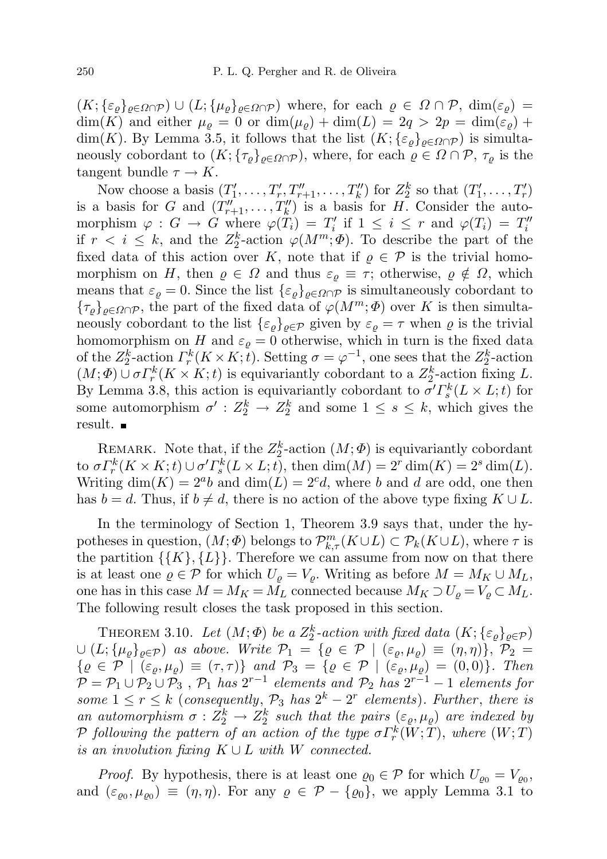$(K; {\{\varepsilon_\varrho\}}_{\varrho \in \Omega \cap \mathcal{P}}) \cup (L; {\{\mu_\varrho\}}_{\varrho \in \Omega \cap \mathcal{P}})$  where, for each  $\varrho \in \Omega \cap \mathcal{P}$ ,  $\dim(\varepsilon_\varrho) =$  $\dim(K)$  and either  $\mu_{\varrho} = 0$  or  $\dim(\mu_{\varrho}) + \dim(L) = 2q > 2p = \dim(\varepsilon_{\varrho}) +$ dim(K). By Lemma 3.5, it follows that the list  $(K; {\{\varepsilon_\rho\}}_{\rho \in \Omega \cap \mathcal{P}})$  is simultaneously cobordant to  $(K; {\{\tau_\rho\}}_{\rho \in \Omega \cap \mathcal{P}})$ , where, for each  $\rho \in \Omega \cap \mathcal{P}$ ,  $\tau_\rho$  is the tangent bundle  $\tau \to K$ .

Now choose a basis  $(T'_1, \ldots, T'_r, T''_{r+1}, \ldots, T''_k)$  for  $Z_2^k$  so that  $(T'_1, \ldots, T'_r)$ is a basis for G and  $(T''_{r+1}, \ldots, T''_k)$  is a basis for H. Consider the automorphism  $\varphi : G \to G$  where  $\varphi(T_i) = T'_i$  if  $1 \leq i \leq r$  and  $\varphi(T_i) = T''_i$ if  $r < i \leq k$ , and the  $Z_2^k$ -action  $\varphi(M^m; \Phi)$ . To describe the part of the fixed data of this action over K, note that if  $\rho \in \mathcal{P}$  is the trivial homomorphism on H, then  $\varrho \in \Omega$  and thus  $\varepsilon_{\rho} \equiv \tau$ ; otherwise,  $\varrho \notin \Omega$ , which means that  $\varepsilon_{\varrho} = 0$ . Since the list  $\{\varepsilon_{\varrho}\}_{{\varrho} \in \Omega \cap {\mathcal{P}}}$  is simultaneously cobordant to  ${\{\tau_\varrho\}}_{\varrho\in\Omega\cap\mathcal{P}}$ , the part of the fixed data of  $\varphi(M^m;\Phi)$  over K is then simultaneously cobordant to the list  $\{\varepsilon_\varrho\}_{\varrho \in \mathcal{P}}$  given by  $\varepsilon_\varrho = \tau$  when  $\varrho$  is the trivial homomorphism on H and  $\varepsilon_{\varrho} = 0$  otherwise, which in turn is the fixed data of the  $Z_2^k$ -action  $\Gamma_r^k(K \times K; t)$ . Setting  $\sigma = \varphi^{-1}$ , one sees that the  $Z_2^k$ -action  $(M; \Phi) \cup \sigma \Gamma_r^k(K \times K; t)$  is equivariantly cobordant to a  $Z_2^k$ -action fixing L. By Lemma 3.8, this action is equivariantly cobordant to  $\sigma' F_s^k(L \times L; t)$  for some automorphism  $\sigma' : Z_2^k \to Z_2^k$  and some  $1 \leq s \leq k$ , which gives the result.

REMARK. Note that, if the  $Z_2^k$ -action  $(M; \Phi)$  is equivariantly cobordant to  $\sigma \Gamma_r^k(K \times K; t) \cup \sigma' \Gamma_s^k(L \times L; t)$ , then  $\dim(M) = 2^r \dim(K) = 2^s \dim(L)$ . Writing  $\dim(K) = 2^{\alpha}b$  and  $\dim(L) = 2^{\alpha}d$ , where b and d are odd, one then has  $b = d$ . Thus, if  $b \neq d$ , there is no action of the above type fixing  $K \cup L$ .

In the terminology of Section 1, Theorem 3.9 says that, under the hypotheses in question,  $(M; \Phi)$  belongs to  $\mathcal{P}_{k,\tau}^m(K \cup L) \subset \mathcal{P}_k(K \cup L)$ , where  $\tau$  is the partition  $\{\{K\},\{L\}\}\$ . Therefore we can assume from now on that there is at least one  $\rho \in \mathcal{P}$  for which  $U_{\rho} = V_{\rho}$ . Writing as before  $M = M_K \cup M_L$ , one has in this case  $M = M_K = M_L$  connected because  $M_K \supset U_\rho = V_\rho \subset M_L$ . The following result closes the task proposed in this section.

THEOREM 3.10. Let  $(M; \Phi)$  be a  $Z_2^k$ -action with fixed data  $(K; \{ \varepsilon_\varrho \}_{\varrho \in \mathcal{P}})$  $\cup (L; {\mu_\varrho}_{\varrho\in\mathcal{P}})$  as above. Write  $\mathcal{P}_1 = {\varrho \in \mathcal{P} \mid (\varepsilon_\varrho, \mu_\varrho) \equiv (\eta, \eta)}, \mathcal{P}_2 =$  $\{\varrho \in \mathcal{P} \mid (\varepsilon_{\varrho}, \mu_{\varrho}) \equiv (\tau, \tau) \}$  and  $\mathcal{P}_3 = \{\varrho \in \mathcal{P} \mid (\varepsilon_{\varrho}, \mu_{\varrho}) = (0, 0) \}$ . Then  $\mathcal{P} = \mathcal{P}_1 \cup \mathcal{P}_2 \cup \mathcal{P}_3$ ,  $\mathcal{P}_1$  has  $2^{r-1}$  elements and  $\mathcal{P}_2$  has  $2^{r-1} - 1$  elements for some  $1 \leq r \leq k$  (consequently,  $P_3$  has  $2^k - 2^r$  elements). Further, there is an automorphism  $\sigma: Z_2^k \to Z_2^k$  such that the pairs  $(\varepsilon_{\varrho}, \mu_{\varrho})$  are indexed by P following the pattern of an action of the type  $\sigma\varGamma_r^k(\bar W;\bar T),$  where  $(W;T)$ is an involution fixing  $K \cup L$  with W connected.

*Proof.* By hypothesis, there is at least one  $\varrho_0 \in \mathcal{P}$  for which  $U_{\varrho_0} = V_{\varrho_0}$ , and  $(\varepsilon_{\varrho_0}, \mu_{\varrho_0}) \equiv (\eta, \eta)$ . For any  $\varrho \in \mathcal{P} - {\varrho_0}$ , we apply Lemma 3.1 to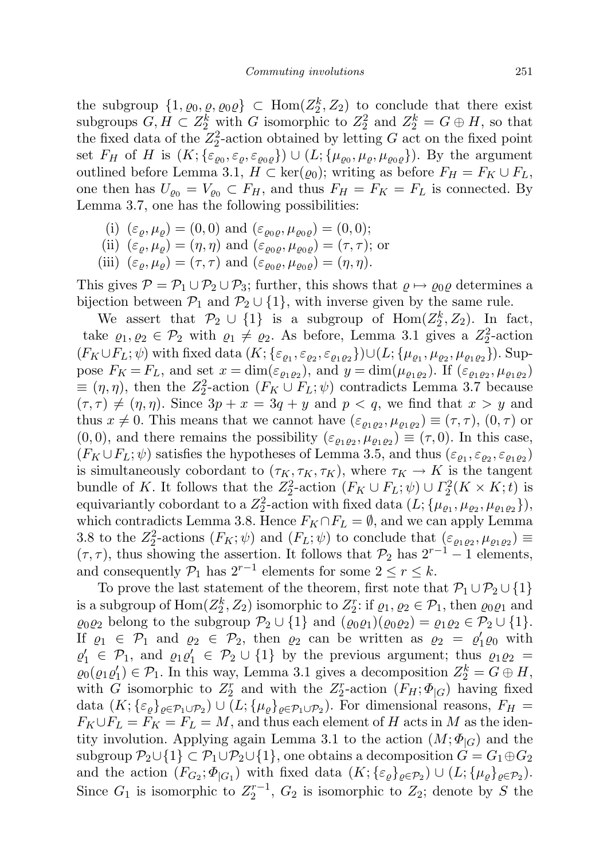the subgroup  $\{1, \varrho_0, \varrho, \varrho_0\varrho\} \subset \text{Hom}(Z_2^k, Z_2)$  to conclude that there exist subgroups  $G, H \subset Z_2^k$  with G isomorphic to  $Z_2^2$  and  $Z_2^k = G \oplus H$ , so that the fixed data of the  $Z_2^2$ -action obtained by letting G act on the fixed point set  $F_H$  of H is  $(K; {\{\varepsilon_{\varrho_0}, \varepsilon_{\varrho, \varrho}}\}) \cup (L; {\{\mu_{\varrho_0}, \mu_{\varrho, \varrho_{\varrho}}\}})$ . By the argument outlined before Lemma 3.1,  $H \subset \text{ker}(\varrho_0)$ ; writing as before  $F_H = F_K \cup F_L$ , one then has  $U_{\rho_0} = V_{\rho_0} \subset F_H$ , and thus  $F_H = F_K = F_L$  is connected. By Lemma 3.7, one has the following possibilities:

- (i)  $(\varepsilon_{\varrho}, \mu_{\varrho}) = (0, 0)$  and  $(\varepsilon_{\varrho_0 \varrho}, \mu_{\varrho_0 \varrho}) = (0, 0);$
- (ii)  $(\varepsilon_{\rho}, \mu_{\rho}) = (\eta, \eta)$  and  $(\varepsilon_{\rho_0 \rho}, \mu_{\rho_0 \rho}) = (\tau, \tau)$ ; or
- (iii)  $(\varepsilon_{\rho}, \mu_{\rho}) = (\tau, \tau)$  and  $(\varepsilon_{\rho_0 \rho}, \mu_{\rho_0 \rho}) = (\eta, \eta)$ .

This gives  $P = P_1 \cup P_2 \cup P_3$ ; further, this shows that  $\rho \mapsto \rho_0 \rho$  determines a bijection between  $\mathcal{P}_1$  and  $\mathcal{P}_2 \cup \{1\}$ , with inverse given by the same rule.

We assert that  $\mathcal{P}_2 \cup \{1\}$  is a subgroup of  $\text{Hom}(Z_2^k, Z_2)$ . In fact, take  $\varrho_1, \varrho_2 \in \mathcal{P}_2$  with  $\varrho_1 \neq \varrho_2$ . As before, Lemma 3.1 gives a  $Z_2^2$ -action  $(F_K \cup F_L; \psi)$  with fixed data  $(K; \{\varepsilon_{\varrho_1}, \varepsilon_{\varrho_2}, \varepsilon_{\varrho_1 \varrho_2}\}) \cup (L; \{\mu_{\varrho_1}, \mu_{\varrho_2}, \mu_{\varrho_1 \varrho_2}\})$ . Suppose  $F_K = F_L$ , and set  $x = \dim(\varepsilon_{\varrho_1 \varrho_2})$ , and  $y = \dim(\mu_{\varrho_1 \varrho_2})$ . If  $(\varepsilon_{\varrho_1 \varrho_2}, \mu_{\varrho_1 \varrho_2})$  $\equiv (\eta, \eta)$ , then the  $Z_2^2$ -action  $(F_K \cup F_L; \psi)$  contradicts Lemma 3.7 because  $(\tau, \tau) \neq (\eta, \eta)$ . Since  $3p + x = 3q + y$  and  $p < q$ , we find that  $x > y$  and thus  $x \neq 0$ . This means that we cannot have  $(\varepsilon_{\varrho_1\varrho_2}, \mu_{\varrho_1\varrho_2}) \equiv (\tau, \tau)$ ,  $(0, \tau)$  or  $(0,0)$ , and there remains the possibility  $(\varepsilon_{\varrho_1\varrho_2},\mu_{\varrho_1\varrho_2}) \equiv (\tau,0)$ . In this case,  $(F_K \cup F_L; \psi)$  satisfies the hypotheses of Lemma 3.5, and thus  $(\varepsilon_{\varrho_1}, \varepsilon_{\varrho_2}, \varepsilon_{\varrho_1 \varrho_2})$ is simultaneously cobordant to  $(\tau_K, \tau_K, \tau_K)$ , where  $\tau_K \to K$  is the tangent bundle of K. It follows that the  $Z_2^2$ -action  $(F_K \cup F_L; \psi) \cup \Gamma_2^2(K \times K; t)$  is equivariantly cobordant to a  $Z_2^2$ -action with fixed data  $(L; \{\mu_{\varrho_1}, \mu_{\varrho_2}, \mu_{\varrho_1 \varrho_2}\}),$ which contradicts Lemma 3.8. Hence  $F_K \cap F_L = \emptyset$ , and we can apply Lemma 3.8 to the  $Z_2^2$ -actions  $(F_K; \psi)$  and  $(F_L; \psi)$  to conclude that  $(\varepsilon_{\varrho_1\varrho_2}, \mu_{\varrho_1\varrho_2}) \equiv$  $(\tau, \tau)$ , thus showing the assertion. It follows that  $\mathcal{P}_2$  has  $2^{r-1} - 1$  elements, and consequently  $\mathcal{P}_1$  has  $2^{r-1}$  elements for some  $2 \le r \le k$ .

To prove the last statement of the theorem, first note that  $\mathcal{P}_1 \cup \mathcal{P}_2 \cup \{1\}$ is a subgroup of  $\text{Hom}(Z_2^k, Z_2)$  isomorphic to  $Z_2^r$ : if  $\varrho_1, \varrho_2 \in \mathcal{P}_1$ , then  $\varrho_0 \varrho_1$  and  $\varrho_0 \varrho_2$  belong to the subgroup  $\mathcal{P}_2 \cup \{1\}$  and  $(\varrho_0 \varrho_1)(\varrho_0 \varrho_2) = \varrho_1 \varrho_2 \in \mathcal{P}_2 \cup \{1\}.$ If  $\varrho_1 \in \mathcal{P}_1$  and  $\varrho_2 \in \mathcal{P}_2$ , then  $\varrho_2$  can be written as  $\varrho_2 = \varrho'_1 \varrho_0$  with  $\varrho'_1 \in \mathcal{P}_1$ , and  $\varrho_1 \varrho'_1 \in \mathcal{P}_2 \cup \{1\}$  by the previous argument; thus  $\varrho_1 \varrho_2 =$  $\varrho_0(\varrho_1\varrho_1') \in \mathcal{P}_1$ . In this way, Lemma 3.1 gives a decomposition  $Z_2^k = G \oplus H$ , with G isomorphic to  $Z_2^r$  and with the  $Z_2^r$ -action  $(F_H; \Phi_{|G})$  having fixed data  $(K; {\{\varepsilon_\varrho\}}_{\varrho \in {\mathcal P}_1 \cup {\mathcal P}_2}) \cup (L; {\{\mu_\varrho\}}_{\varrho \in {\mathcal P}_1 \cup {\mathcal P}_2})$ . For dimensional reasons,  $F_H =$  $F_K \cup F_L = F_K = F_L = M$ , and thus each element of H acts in M as the identity involution. Applying again Lemma 3.1 to the action  $(M; \Phi_G)$  and the subgroup  $\mathcal{P}_2 \cup \{1\} \subset \mathcal{P}_1 \cup \mathcal{P}_2 \cup \{1\}$ , one obtains a decomposition  $G = G_1 \oplus G_2$ and the action  $(F_{G_2}; \Phi_{|G_1})$  with fixed data  $(K; \{\varepsilon_\varrho\}_{\varrho \in \mathcal{P}_2}) \cup (L; \{\mu_\varrho\}_{\varrho \in \mathcal{P}_2})$ . Since  $G_1$  is isomorphic to  $Z_2^{r-1}$ ,  $G_2$  is isomorphic to  $Z_2$ ; denote by S the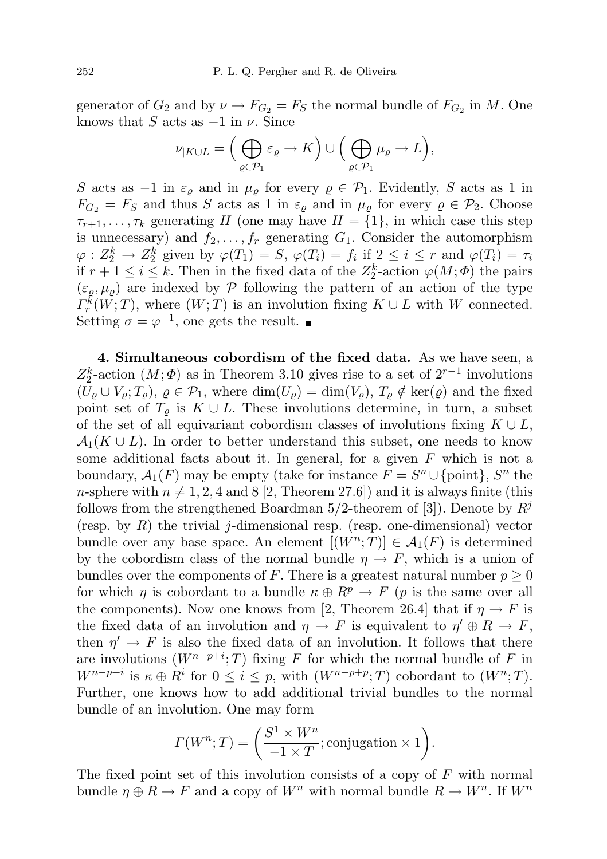generator of  $G_2$  and by  $\nu \to F_{G_2} = F_S$  the normal bundle of  $F_{G_2}$  in M. One knows that S acts as  $-1$  in  $\nu$ . Since

$$
\nu_{|K\cup L} = \left(\bigoplus_{\varrho \in \mathcal{P}_1} \varepsilon_{\varrho} \to K\right) \cup \left(\bigoplus_{\varrho \in \mathcal{P}_1} \mu_{\varrho} \to L\right),\,
$$

S acts as  $-1$  in  $\varepsilon_{\varrho}$  and in  $\mu_{\varrho}$  for every  $\varrho \in \mathcal{P}_1$ . Evidently, S acts as 1 in  $F_{G_2} = F_S$  and thus S acts as 1 in  $\varepsilon_\rho$  and in  $\mu_\rho$  for every  $\rho \in \mathcal{P}_2$ . Choose  $\tau_{r+1}, \ldots, \tau_k$  generating H (one may have  $H = \{1\}$ , in which case this step is unnecessary) and  $f_2, \ldots, f_r$  generating  $G_1$ . Consider the automorphism  $\varphi: Z_2^k \to Z_2^k$  given by  $\varphi(T_1) = S$ ,  $\varphi(T_i) = f_i$  if  $2 \leq i \leq r$  and  $\varphi(T_i) = \tau_i$ if  $r + 1 \leq i \leq k$ . Then in the fixed data of the  $Z_2^k$ -action  $\varphi(M; \Phi)$  the pairs  $(\varepsilon_{\rho}, \mu_{\rho})$  are indexed by P following the pattern of an action of the type  $\Gamma_r^k(W;T)$ , where  $(W;T)$  is an involution fixing  $K \cup L$  with W connected. Setting  $\sigma = \varphi^{-1}$ , one gets the result.

4. Simultaneous cobordism of the fixed data. As we have seen, a  $Z_2^k$ -action  $(M; \Phi)$  as in Theorem 3.10 gives rise to a set of  $2^{r-1}$  involutions  $(U_{\rho} \cup V_{\rho}; T_{\rho}), \varrho \in \mathcal{P}_1$ , where  $\dim(U_{\rho}) = \dim(V_{\rho}), T_{\rho} \notin \ker(\varrho)$  and the fixed point set of  $T<sub>o</sub>$  is  $K \cup L$ . These involutions determine, in turn, a subset of the set of all equivariant cobordism classes of involutions fixing  $K \cup L$ ,  $\mathcal{A}_1(K \cup L)$ . In order to better understand this subset, one needs to know some additional facts about it. In general, for a given  $F$  which is not a boundary,  $\mathcal{A}_1(F)$  may be empty (take for instance  $F = S^n \cup \{\text{point}\}, S^n$  the n-sphere with  $n \neq 1, 2, 4$  and 8 [2, Theorem 27.6]) and it is always finite (this follows from the strengthened Boardman  $5/2$ -theorem of [3]). Denote by  $R<sup>j</sup>$ (resp. by  $R$ ) the trivial j-dimensional resp. (resp. one-dimensional) vector bundle over any base space. An element  $[(W^n;T)] \in \mathcal{A}_1(F)$  is determined by the cobordism class of the normal bundle  $\eta \to F$ , which is a union of bundles over the components of F. There is a greatest natural number  $p \geq 0$ for which  $\eta$  is cobordant to a bundle  $\kappa \oplus R^p \to F$  (p is the same over all the components). Now one knows from [2, Theorem 26.4] that if  $\eta \to F$  is the fixed data of an involution and  $\eta \to F$  is equivalent to  $\eta' \oplus R \to F$ , then  $\eta' \to F$  is also the fixed data of an involution. It follows that there are involutions  $(\overline{W}^{n-p+i};T)$  fixing F for which the normal bundle of F in  $\overline{W}^{n-p+i}$  is  $\kappa \oplus R^i$  for  $0 \leq i \leq p$ , with  $(\overline{W}^{n-p+p};T)$  cobordant to  $(W^n;T)$ . Further, one knows how to add additional trivial bundles to the normal bundle of an involution. One may form

$$
\Gamma(W^n; T) = \left(\frac{S^1 \times W^n}{-1 \times T}; \text{conjugation} \times 1\right).
$$

The fixed point set of this involution consists of a copy of  $F$  with normal bundle  $\eta \oplus R \to F$  and a copy of  $W^n$  with normal bundle  $R \to W^n$ . If  $W^n$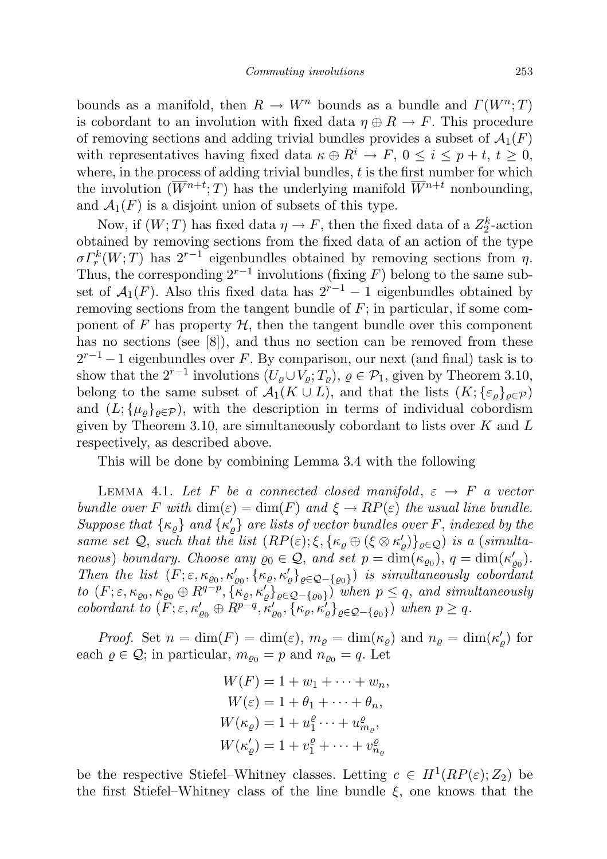bounds as a manifold, then  $R \to W^n$  bounds as a bundle and  $\Gamma(W^n;T)$ is cobordant to an involution with fixed data  $\eta \oplus R \to F$ . This procedure of removing sections and adding trivial bundles provides a subset of  $\mathcal{A}_1(F)$ with representatives having fixed data  $\kappa \oplus R^i \to F$ ,  $0 \leq i \leq p+t$ ,  $t \geq 0$ , where, in the process of adding trivial bundles, t is the first number for which the involution  $(\overline{W}^{n+t};T)$  has the underlying manifold  $\overline{W}^{n+t}$  nonbounding, and  $\mathcal{A}_1(F)$  is a disjoint union of subsets of this type.

Now, if  $(W; T)$  has fixed data  $\eta \to F$ , then the fixed data of a  $Z_2^k$ -action obtained by removing sections from the fixed data of an action of the type  $\sigma \Gamma_r^k(W;T)$  has  $2^{r-1}$  eigenbundles obtained by removing sections from  $\eta$ . Thus, the corresponding  $2^{r-1}$  involutions (fixing F) belong to the same subset of  $\mathcal{A}_1(F)$ . Also this fixed data has  $2^{r-1} - 1$  eigenbundles obtained by removing sections from the tangent bundle of  $F$ ; in particular, if some component of F has property  $H$ , then the tangent bundle over this component has no sections (see [8]), and thus no section can be removed from these  $2^{r-1}-1$  eigenbundles over F. By comparison, our next (and final) task is to show that the  $2^{r-1}$  involutions  $(U_{\varrho} \cup V_{\varrho}; T_{\varrho}), \varrho \in \mathcal{P}_1$ , given by Theorem 3.10, belong to the same subset of  $\mathcal{A}_1(K \cup L)$ , and that the lists  $(K; {\{\varepsilon_\varrho\}}_{\rho \in \mathcal{P}})$ and  $(L; {\mu_\varrho}_{\varrho\in\mathcal{P}})$ , with the description in terms of individual cobordism given by Theorem 3.10, are simultaneously cobordant to lists over  $K$  and  $L$ respectively, as described above.

This will be done by combining Lemma 3.4 with the following

LEMMA 4.1. Let F be a connected closed manifold,  $\varepsilon \to F$  a vector bundle over F with  $\dim(\varepsilon) = \dim(F)$  and  $\xi \to RP(\varepsilon)$  the usual line bundle. Suppose that  $\{\kappa_{\varrho}\}$  and  $\{\kappa'_{\varrho}\}$  are lists of vector bundles over F, indexed by the same set Q, such that the list  $(RP(\varepsilon); \xi, {\kappa_\varrho \oplus (\xi \otimes \kappa'_\varrho)}_{\varrho \in Q})$  is a (simultaneous) boundary. Choose any  $\varrho_0 \in \mathcal{Q}$ , and set  $p = \dim(\kappa_{\varrho_0}), q = \dim(\kappa_{\varrho_0}')$ . Then the list  $(F; \varepsilon, \kappa_{\varrho_0}, \kappa'_{\varrho_0}, {\kappa'_{\varrho}}, {\kappa'_{\varrho}}_{\varrho \in \mathcal{Q} - {\varrho_0}})$  is simultaneously cobordant to  $(F; \varepsilon, \kappa_{\varrho_0}, \kappa_{\varrho_0} \oplus R^{q-p}, \{\kappa_\varrho, \kappa'_\varrho\}_{\varrho \in \mathcal{Q} - \{\varrho_0\}})$  when  $p \leq q$ , and simultaneously cobordant to  $(F; \varepsilon, \kappa'_{\varrho_0} \oplus R^{p-q}, \kappa'_{\varrho_0}, {\kappa'_{\varrho}}, {\kappa'_{\varrho}}_{\varrho \in \mathcal{Q} - {\varrho_0}})$  when  $p \geq q$ .

*Proof.* Set  $n = \dim(F) = \dim(\varepsilon)$ ,  $m_{\varrho} = \dim(\kappa_{\varrho})$  and  $n_{\varrho} = \dim(\kappa_{\varrho}')$  for each  $\rho \in \mathcal{Q}$ ; in particular,  $m_{\rho_0} = p$  and  $n_{\rho_0} = q$ . Let

$$
W(F) = 1 + w_1 + \dots + w_n,
$$
  
\n
$$
W(\varepsilon) = 1 + \theta_1 + \dots + \theta_n,
$$
  
\n
$$
W(\kappa_{\varrho}) = 1 + u_1^{\varrho} \dots + u_{m_{\varrho}}^{\varrho},
$$
  
\n
$$
W(\kappa_{\varrho}') = 1 + v_1^{\varrho} + \dots + v_{n_{\varrho}}^{\varrho}
$$

be the respective Stiefel–Whitney classes. Letting  $c \in H^1(RP(\varepsilon); Z_2)$  be the first Stiefel–Whitney class of the line bundle  $\xi$ , one knows that the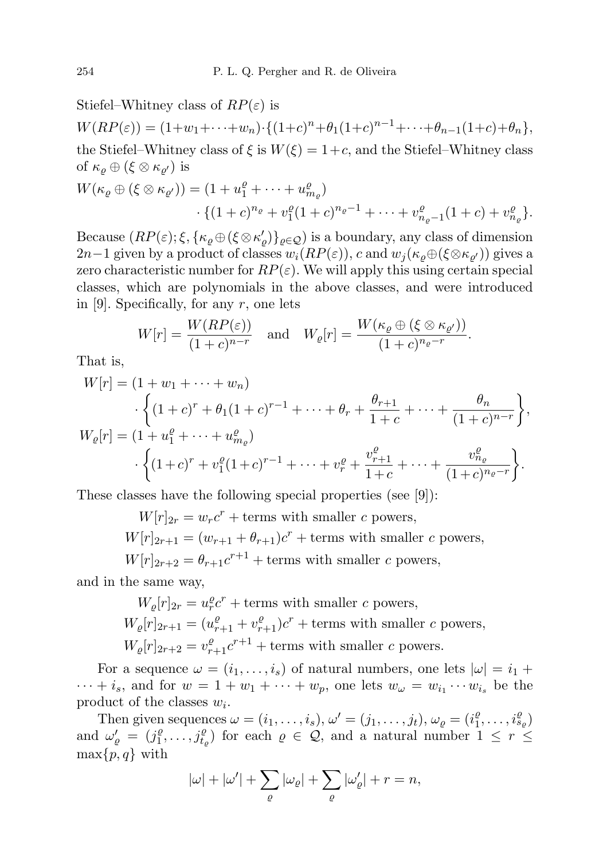Stiefel–Whitney class of  $RP(\varepsilon)$  is

 $W(RP(\varepsilon)) = (1+w_1+\cdots+w_n) \cdot \{(1+c)^n + \theta_1(1+c)^{n-1} + \cdots + \theta_{n-1}(1+c) + \theta_n\},$ the Stiefel–Whitney class of  $\xi$  is  $W(\xi) = 1+c$ , and the Stiefel–Whitney class of  $\kappa_{\varrho}\oplus(\xi\otimes\kappa_{\varrho'})$  is

$$
W(\kappa_{\varrho} \oplus (\xi \otimes \kappa_{\varrho'})) = (1 + u_1^{\varrho} + \dots + u_{m_{\varrho}}^{\varrho})
$$
  
 
$$
\cdot \{(1 + c)^{n_{\varrho}} + v_1^{\varrho}(1 + c)^{n_{\varrho} - 1} + \dots + v_{n_{\varrho} - 1}^{\varrho}(1 + c) + v_{n_{\varrho}}^{\varrho}\}.
$$

Because  $(RP(\varepsilon); \xi, {\{\kappa_\varrho \oplus (\xi \otimes \kappa'_\varrho)\}_{\varrho \in \mathcal{Q}}})$  is a boundary, any class of dimension 2n−1 given by a product of classes  $w_i(RP(\varepsilon))$ , c and  $w_j(\kappa_\varrho \oplus (\xi \otimes \kappa_{\varrho'}))$  gives a zero characteristic number for  $RP(\varepsilon)$ . We will apply this using certain special classes, which are polynomials in the above classes, and were introduced in [9]. Specifically, for any  $r$ , one lets

$$
W[r] = \frac{W(RP(\varepsilon))}{(1+c)^{n-r}} \quad \text{and} \quad W_{\varrho}[r] = \frac{W(\kappa_{\varrho} \oplus (\xi \otimes \kappa_{\varrho'}))}{(1+c)^{n_{\varrho}-r}}.
$$

That is,

$$
W[r] = (1 + w_1 + \dots + w_n)
$$
  
\n
$$
\cdot \left\{ (1 + c)^r + \theta_1 (1 + c)^{r-1} + \dots + \theta_r + \frac{\theta_{r+1}}{1+c} + \dots + \frac{\theta_n}{(1+c)^{n-r}} \right\},
$$
  
\n
$$
W_{\varrho}[r] = (1 + u_1^{\varrho} + \dots + u_{m_{\varrho}}^{\varrho})
$$
  
\n
$$
\cdot \left\{ (1+c)^r + v_1^{\varrho} (1+c)^{r-1} + \dots + v_r^{\varrho} + \frac{v_{r+1}^{\varrho}}{1+c} + \dots + \frac{v_{n_{\varrho}}^{\varrho}}{(1+c)^{n_{\varrho}-r}} \right\}.
$$

These classes have the following special properties (see [9]):

 $W[r]_{2r} = w_r c^r + \text{terms with smaller } c \text{ powers},$  $W[r]_{2r+1} = (w_{r+1} + \theta_{r+1})c^r$  + terms with smaller c powers,  $W[r]_{2r+2} = \theta_{r+1}c^{r+1} + \text{terms with smaller } c \text{ powers},$ 

and in the same way,

 $W_{\varrho}[r]_{2r} = u_r^{\varrho} c^r + \text{terms with smaller } c \text{ powers},$  $W_{\varrho}[r]_{2r+1} = (u_{r+1}^{\varrho} + v_{r+1}^{\varrho})c^r + \text{terms with smaller } c \text{ powers},$  $W_{\varrho}[r]_{2r+2} = v_{r+1}^{\varrho} c^{r+1} + \text{terms with smaller } c \text{ powers.}$ 

For a sequence  $\omega = (i_1, \ldots, i_s)$  of natural numbers, one lets  $|\omega| = i_1 + i_2$  $\cdots + i_s$ , and for  $w = 1 + w_1 + \cdots + w_p$ , one lets  $w_\omega = w_{i_1} \cdots w_{i_s}$  be the product of the classes  $w_i$ .

Then given sequences  $\omega = (i_1, \ldots, i_s), \omega' = (j_1, \ldots, j_t), \omega_{\varrho} = (i_1^{\varrho})$  $i_1^{\varrho}, \ldots, i_{s_{\varrho}}^{\varrho})$ and  $\omega'_{\varrho} = (j_1^{\varrho})$  $\hat{f}_1^{\varrho}, \ldots, \hat{f}_{t_{\varrho}}^{\varrho}$  for each  $\varrho \in \mathcal{Q}$ , and a natural number  $1 \leq r \leq$  $\max\{p, q\}$  with

$$
|\omega| + |\omega'| + \sum_{\varrho} |\omega_{\varrho}| + \sum_{\varrho} |\omega'_{\varrho}| + r = n,
$$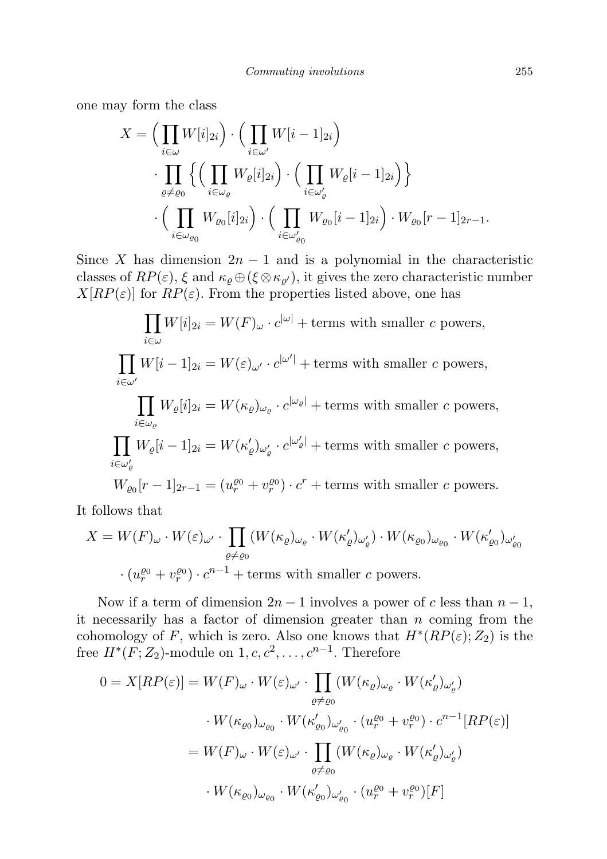one may form the class

$$
X = \Big(\prod_{i \in \omega} W[i]_{2i}\Big) \cdot \Big(\prod_{i \in \omega'} W[i-1]_{2i}\Big)
$$

$$
\cdot \prod_{\varrho \neq \varrho_0} \Big\{\Big(\prod_{i \in \omega_{\varrho}} W_{\varrho}[i]_{2i}\Big) \cdot \Big(\prod_{i \in \omega'_{\varrho}} W_{\varrho}[i-1]_{2i}\Big)\Big\}
$$

$$
\cdot \Big(\prod_{i \in \omega_{\varrho_0}} W_{\varrho_0}[i]_{2i}\Big) \cdot \Big(\prod_{i \in \omega'_{\varrho_0}} W_{\varrho_0}[i-1]_{2i}\Big) \cdot W_{\varrho_0}[r-1]_{2r-1}.
$$

Since X has dimension  $2n - 1$  and is a polynomial in the characteristic classes of  $RP(\varepsilon)$ ,  $\xi$  and  $\kappa_{\varrho} \oplus (\xi \otimes \kappa_{\varrho'})$ , it gives the zero characteristic number  $X[RP(\varepsilon)]$  for  $RP(\varepsilon)$ . From the properties listed above, one has

$$
\prod_{i \in \omega} W[i]_{2i} = W(F)_{\omega} \cdot c^{|\omega|} + \text{terms with smaller } c \text{ powers},
$$
\n
$$
\prod_{i \in \omega'} W[i-1]_{2i} = W(\varepsilon)_{\omega'} \cdot c^{|\omega'|} + \text{terms with smaller } c \text{ powers},
$$
\n
$$
\prod_{i \in \omega_e} W_e[i]_{2i} = W(\kappa_e)_{\omega_e} \cdot c^{|\omega_e|} + \text{terms with smaller } c \text{ powers},
$$
\n
$$
\prod_{i \in \omega'_e} W_e[i-1]_{2i} = W(\kappa'_e)_{\omega'_e} \cdot c^{|\omega'_e|} + \text{terms with smaller } c \text{ powers},
$$
\n
$$
W_{\varrho_0}[r-1]_{2r-1} = (u_r^{\varrho_0} + v_r^{\varrho_0}) \cdot c^r + \text{terms with smaller } c \text{ powers}.
$$

It follows that

$$
X = W(F)_{\omega} \cdot W(\varepsilon)_{\omega'} \cdot \prod_{\varrho \neq \varrho_0} (W(\kappa_{\varrho})_{\omega_{\varrho}} \cdot W(\kappa_{\varrho}')_{\omega_{\varrho'}}) \cdot W(\kappa_{\varrho_0})_{\omega_{\varrho_0}} \cdot W(\kappa_{\varrho_0}')_{\omega_{\varrho_0}'}
$$

$$
\cdot (u_r^{\varrho_0} + v_r^{\varrho_0}) \cdot c^{n-1} + \text{terms with smaller } c \text{ powers.}
$$

Now if a term of dimension  $2n - 1$  involves a power of c less than  $n - 1$ , it necessarily has a factor of dimension greater than  $n$  coming from the cohomology of F, which is zero. Also one knows that  $H^*(RP(\varepsilon); Z_2)$  is the free  $H^*(F; Z_2)$ -module on  $1, c, c^2, \ldots, c^{n-1}$ . Therefore

$$
0 = X[RP(\varepsilon)] = W(F)_{\omega} \cdot W(\varepsilon)_{\omega'} \cdot \prod_{\varrho \neq \varrho_0} (W(\kappa_{\varrho})_{\omega_{\varrho}} \cdot W(\kappa'_{\varrho})_{\omega'_{\varrho}})
$$

$$
\cdot W(\kappa_{\varrho_0})_{\omega_{\varrho_0}} \cdot W(\kappa'_{\varrho_0})_{\omega'_{\varrho_0}} \cdot (u_r^{\varrho_0} + v_r^{\varrho_0}) \cdot c^{n-1}[RP(\varepsilon)]
$$

$$
= W(F)_{\omega} \cdot W(\varepsilon)_{\omega'} \cdot \prod_{\varrho \neq \varrho_0} (W(\kappa_{\varrho})_{\omega_{\varrho}} \cdot W(\kappa'_{\varrho})_{\omega'_{\varrho}})
$$

$$
\cdot W(\kappa_{\varrho_0})_{\omega_{\varrho_0}} \cdot W(\kappa'_{\varrho_0})_{\omega'_{\varrho_0}} \cdot (u_r^{\varrho_0} + v_r^{\varrho_0})[F]
$$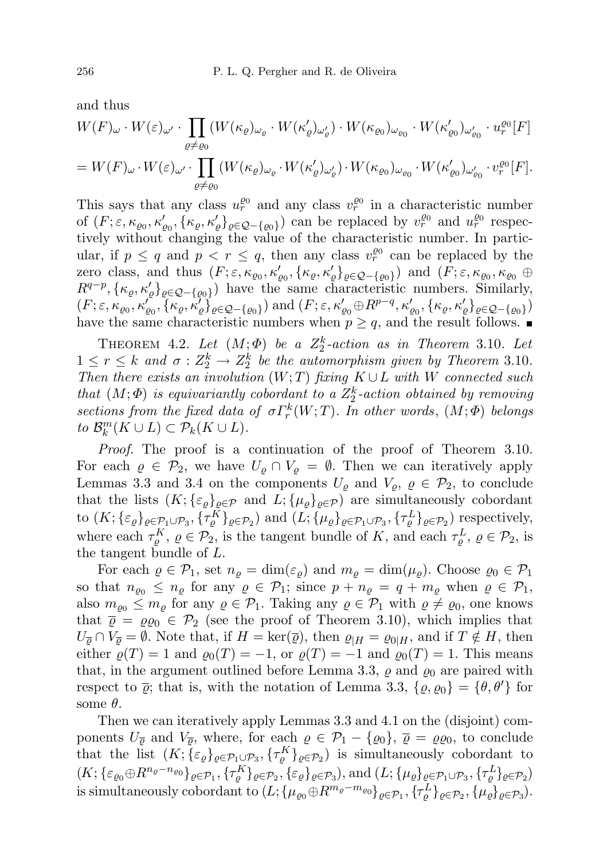and thus

$$
W(F)_{\omega} \cdot W(\varepsilon)_{\omega'} \cdot \prod_{\varrho \neq \varrho_0} (W(\kappa_{\varrho})_{\omega_{\varrho}} \cdot W(\kappa_{\varrho}')_{\omega_{\varrho}'} \cdot W(\kappa_{\varrho_0})_{\omega_{\varrho_0}} \cdot W(\kappa_{\varrho_0}')_{\omega_{\varrho_0}'} \cdot u_r^{\varrho_0}[F]
$$
  
=  $W(F)_{\omega} \cdot W(\varepsilon)_{\omega'} \cdot \prod_{\varrho \neq \varrho_0} (W(\kappa_{\varrho})_{\omega_{\varrho}} \cdot W(\kappa_{\varrho}')_{\omega_{\varrho}'}) \cdot W(\kappa_{\varrho_0})_{\omega_{\varrho_0}} \cdot W(\kappa_{\varrho_0}')_{\omega_{\varrho_0}'} \cdot v_r^{\varrho_0}[F].$ 

This says that any class  $u_r^{\varrho_0}$  and any class  $v_r^{\varrho_0}$  in a characteristic number of  $(F; \varepsilon, \kappa_{\varrho_0}, \kappa'_{\varrho_0}, {\kappa'_{\varrho}}_{\varrho} \}_{{\varrho} \in {\mathcal{Q}} - {\varrho_0}})$  can be replaced by  $v_r^{\varrho_0}$  and  $u_r^{\varrho_0}$  respectively without changing the value of the characteristic number. In particular, if  $p \leq q$  and  $p \leq r \leq q$ , then any class  $v_r^{\varrho_0}$  can be replaced by the zero class, and thus  $(F; \varepsilon, \kappa_{\varrho_0}, \kappa'_{\varrho_0}, {\{\kappa_\varrho, \kappa'_\varrho\}}_{\varrho \in \mathcal{Q} - {\{\varrho_0\}}})$  and  $(F; \varepsilon, \kappa_{\varrho_0}, \kappa_{\varrho_0} \oplus$  $R^{q-p}, {\{\kappa_\varrho,\kappa'_\varrho\}}_{\varrho \in \mathcal{Q} - {\{\varrho_0\}}})$  have the same characteristic numbers. Similarly,  $(F; \varepsilon, \kappa_{\varrho_0}, \kappa'_{\varrho_0}, \{\kappa_\varrho, \kappa'_\varrho\}_{\varrho \in \mathcal{Q} - \{\varrho_0\}})$  and  $(F; \varepsilon, \kappa'_{\varrho_0} \oplus R^{p-q}, \kappa'_{\varrho_0}, \{\kappa_\varrho, \kappa'_\varrho\}_{\varrho \in \mathcal{Q} - \{\varrho_0\}})$ have the same characteristic numbers when  $p \geq q$ , and the result follows.

THEOREM 4.2. Let  $(M; \Phi)$  be a  $Z_2^k$ -action as in Theorem 3.10. Let  $1 \leq r \leq k$  and  $\sigma: Z_2^k \to Z_2^k$  be the automorphism given by Theorem 3.10. Then there exists an involution  $(W;T)$  fixing  $K \cup L$  with W connected such that  $(M; \Phi)$  is equivariantly cobordant to a  $Z_2^k$ -action obtained by removing sections from the fixed data of  $\sigma \Gamma_r^k(W;T)$ . In other words,  $(M; \Phi)$  belongs to  $\mathcal{B}_{k}^{m}(K \cup L) \subset \mathcal{P}_{k}(K \cup L).$ 

Proof. The proof is a continuation of the proof of Theorem 3.10. For each  $\varrho \in \mathcal{P}_2$ , we have  $U_{\rho} \cap V_{\rho} = \emptyset$ . Then we can iteratively apply Lemmas 3.3 and 3.4 on the components  $U_{\rho}$  and  $V_{\rho}, \rho \in \mathcal{P}_2$ , to conclude that the lists  $(K; {\{\varepsilon_{\rho}\}}_{\rho \in \mathcal{P}})$  and  $L; {\{\mu_{\rho}\}}_{\rho \in \mathcal{P}})$  are simultaneously cobordant to  $(K; {\{\varepsilon_\varrho\}}_{\varrho \in {\mathcal{P}_1 \cup \mathcal{P}_3}}, {\{\tau_\varrho^K\}}_{\varrho \in {\mathcal{P}_2}})$  and  $(L; {\{\mu_\varrho\}}_{\varrho \in {\mathcal{P}_1 \cup \mathcal{P}_3}}, {\{\tau_\varrho^L\}}_{\varrho \in {\mathcal{P}_2}})$  respectively, where each  $\tau_{\varrho}^K$ ,  $\varrho \in \mathcal{P}_2$ , is the tangent bundle of K, and each  $\tau_{\varrho}^L$ ,  $\varrho \in \mathcal{P}_2$ , is the tangent bundle of L.

For each  $\varrho \in \mathcal{P}_1$ , set  $n_{\varrho} = \dim(\varepsilon_{\varrho})$  and  $m_{\varrho} = \dim(\mu_{\varrho})$ . Choose  $\varrho_0 \in \mathcal{P}_1$ so that  $n_{\varrho_0} \leq n_{\varrho}$  for any  $\varrho \in \mathcal{P}_1$ ; since  $p + n_{\varrho} = q + m_{\varrho}$  when  $\varrho \in \mathcal{P}_1$ , also  $m_{\rho_0} \leq m_\rho$  for any  $\rho \in \mathcal{P}_1$ . Taking any  $\rho \in \mathcal{P}_1$  with  $\rho \neq \rho_0$ , one knows that  $\overline{\varrho} = \varrho \varrho_0 \in \mathcal{P}_2$  (see the proof of Theorem 3.10), which implies that  $U_{\overline{\rho}} \cap V_{\overline{\rho}} = \emptyset$ . Note that, if  $H = \text{ker}(\overline{\varrho})$ , then  $\varrho_{|H} = \varrho_{0|H}$ , and if  $T \notin H$ , then either  $\varrho(T) = 1$  and  $\varrho_0(T) = -1$ , or  $\varrho(T) = -1$  and  $\varrho_0(T) = 1$ . This means that, in the argument outlined before Lemma 3.3,  $\varrho$  and  $\varrho_0$  are paired with respect to  $\bar{\varrho}$ ; that is, with the notation of Lemma 3.3,  $\{\varrho, \varrho_0\} = \{\theta, \theta'\}\$ for some  $\theta$ .

Then we can iteratively apply Lemmas 3.3 and 4.1 on the (disjoint) components  $U_{\overline{\varrho}}$  and  $V_{\overline{\varrho}}$ , where, for each  $\varrho \in \mathcal{P}_1 - \{\varrho_0\}$ ,  $\overline{\varrho} = \varrho \varrho_0$ , to conclude that the list  $(K; \{ \varepsilon_\varrho \}_{\varrho \in \mathcal{P}_1 \cup \mathcal{P}_3}, \{ \tau_\varrho^K \}_{\varrho \in \mathcal{P}_2})$  is simultaneously cobordant to  $(K; {\{\varepsilon_{\varrho_0}\oplus R^{n_{\varrho}-n_{\varrho_0}}\}}_{\varrho\in \mathcal{P}_1}, {\{\tau^K_{\varrho}\}}_{\varrho\in \mathcal{P}_2}, {\{\varepsilon_{\varrho}\}}_{\varrho\in \mathcal{P}_3}), \text{and } (L; {\{\mu_{\varrho}\}}_{\varrho\in \mathcal{P}_1\cup \mathcal{P}_3}, {\{\tau^L_{\varrho}\}}_{\varrho\in \mathcal{P}_2})$ is simultaneously cobordant to  $(L; \{\mu_{\varrho_0} \oplus R^{m_{\varrho}-m_{\varrho_0}}\}_{{\varrho \in \mathcal{P}_1}}, \{\tau^L_{\varrho}\}_{{\varrho \in \mathcal{P}_2}}, \{\mu_{\varrho}\}_{{\varrho \in \mathcal{P}_3}}).$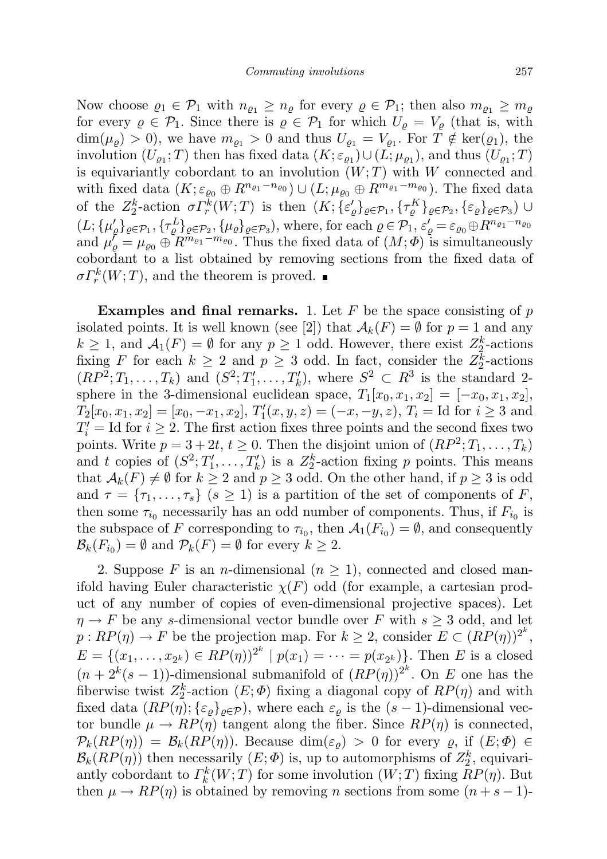Now choose  $\varrho_1 \in \mathcal{P}_1$  with  $n_{\varrho_1} \geq n_{\varrho}$  for every  $\varrho \in \mathcal{P}_1$ ; then also  $m_{\varrho_1} \geq m_{\varrho}$ for every  $\varrho \in \mathcal{P}_1$ . Since there is  $\varrho \in \mathcal{P}_1$  for which  $U_{\varrho} = V_{\varrho}$  (that is, with  $\dim(\mu_{\varrho}) > 0$ , we have  $m_{\varrho_1} > 0$  and thus  $U_{\varrho_1} = V_{\varrho_1}$ . For  $T \notin \ker(\varrho_1)$ , the involution  $(U_{\varrho_1};T)$  then has fixed data  $(K; \varepsilon_{\varrho_1}) \cup (L; \mu_{\varrho_1})$ , and thus  $(U_{\varrho_1}; T)$ is equivariantly cobordant to an involution  $(W; T)$  with W connected and with fixed data  $(K; \varepsilon_{\varrho_0} \oplus R^{n_{\varrho_1}-n_{\varrho_0}}) \cup (L; \mu_{\varrho_0} \oplus R^{m_{\varrho_1}-m_{\varrho_0}})$ . The fixed data of the  $Z_2^k$ -action  $\sigma \Gamma_r^k(W;T)$  is then  $(K; {\{\varepsilon'_{\varrho}\}}_{\varrho \in \mathcal{P}_1}, {\{\tau_{\varrho}^K\}}_{\varrho \in \mathcal{P}_2}, {\{\varepsilon_{\varrho}\}}_{\varrho \in \mathcal{P}_3}) \cup$  $(L; {\{\mu'_\rho\}_{\rho\in\mathcal{P}_1}, {\{\tau^L_\rho\}_{\rho\in\mathcal{P}_2}, {\{\mu_\rho\}_{\rho\in\mathcal{P}_3}\},\text{where, for each }\rho\in\mathcal{P}_1, \varepsilon'_\rho=\varepsilon_{\varrho_0}\oplus R^{n_{\varrho_1}-n_{\varrho_0}}}$ and  $\mu'_{\varrho} = \mu_{\varrho_0} \oplus R^{m_{\varrho_1}-m_{\varrho_0}}$ . Thus the fixed data of  $(M; \Phi)$  is simultaneously cobordant to a list obtained by removing sections from the fixed data of  $\sigma \Gamma_r^k(W;T)$ , and the theorem is proved.

**Examples and final remarks.** 1. Let  $F$  be the space consisting of  $p$ isolated points. It is well known (see [2]) that  $\mathcal{A}_k(F) = \emptyset$  for  $p = 1$  and any  $k \geq 1$ , and  $\mathcal{A}_1(F) = \emptyset$  for any  $p \geq 1$  odd. However, there exist  $Z_2^k$ -actions fixing F for each  $k \geq 2$  and  $p \geq 3$  odd. In fact, consider the  $Z_2^k$ -actions  $(RP^2; T_1, \ldots, T_k)$  and  $(S^2; T'_1, \ldots, T'_k)$ , where  $S^2 \subset R^3$  is the standard 2sphere in the 3-dimensional euclidean space,  $T_1[x_0, x_1, x_2] = [-x_0, x_1, x_2]$ ,  $T_2[x_0, x_1, x_2] = [x_0, -x_1, x_2],$   $T'_1(x, y, z) = (-x, -y, z),$   $T_i =$  Id for  $i \ge 3$  and  $T_i' = \text{Id}$  for  $i \geq 2$ . The first action fixes three points and the second fixes two points. Write  $p = 3 + 2t$ ,  $t \ge 0$ . Then the disjoint union of  $(RP^2; T_1, \ldots, T_k)$ and t copies of  $(S^2; T'_1, \ldots, T'_k)$  is a  $Z_2^k$ -action fixing p points. This means that  $\mathcal{A}_k(F) \neq \emptyset$  for  $k \geq 2$  and  $p \geq 3$  odd. On the other hand, if  $p \geq 3$  is odd and  $\tau = {\tau_1, \ldots, \tau_s}$   $(s \ge 1)$  is a partition of the set of components of F, then some  $\tau_{i_0}$  necessarily has an odd number of components. Thus, if  $F_{i_0}$  is the subspace of F corresponding to  $\tau_{i_0}$ , then  $\mathcal{A}_1(F_{i_0}) = \emptyset$ , and consequently  $\mathcal{B}_k(F_{i_0}) = \emptyset$  and  $\mathcal{P}_k(F) = \emptyset$  for every  $k \geq 2$ .

2. Suppose F is an *n*-dimensional  $(n \geq 1)$ , connected and closed manifold having Euler characteristic  $\chi(F)$  odd (for example, a cartesian product of any number of copies of even-dimensional projective spaces). Let  $\eta \rightarrow F$  be any s-dimensional vector bundle over F with  $s \geq 3$  odd, and let  $p:RP(\eta) \to F$  be the projection map. For  $k \geq 2$ , consider  $E \subset (RP(\eta))^{2^k}$ ,  $E = \{(x_1, \ldots, x_{2^k}) \in RP(\eta)\}^{2^k} \mid p(x_1) = \cdots = p(x_{2^k})\}.$  Then E is a closed  $(n+2^k(s-1))$ -dimensional submanifold of  $(RP(\eta))^{2^k}$ . On E one has the fiberwise twist  $Z_2^k$ -action  $(E; \Phi)$  fixing a diagonal copy of  $RP(\eta)$  and with fixed data  $(RP(\eta); {\{\varepsilon_{\rho}\}}_{\rho \in \mathcal{P}})$ , where each  $\varepsilon_{\rho}$  is the  $(s-1)$ -dimensional vector bundle  $\mu \to RP(\eta)$  tangent along the fiber. Since  $RP(\eta)$  is connected,  $\mathcal{P}_k(RP(\eta)) = \mathcal{B}_k(RP(\eta))$ . Because  $\dim(\varepsilon_o) > 0$  for every  $\varrho$ , if  $(E; \Phi) \in$  $\mathcal{B}_k(RP(\eta))$  then necessarily  $(E; \Phi)$  is, up to automorphisms of  $Z_2^k$ , equivariantly cobordant to  $\Gamma_k^k(W;T)$  for some involution  $(W;T)$  fixing  $RP(\eta)$ . But then  $\mu \to RP(\eta)$  is obtained by removing *n* sections from some  $(n+s-1)$ -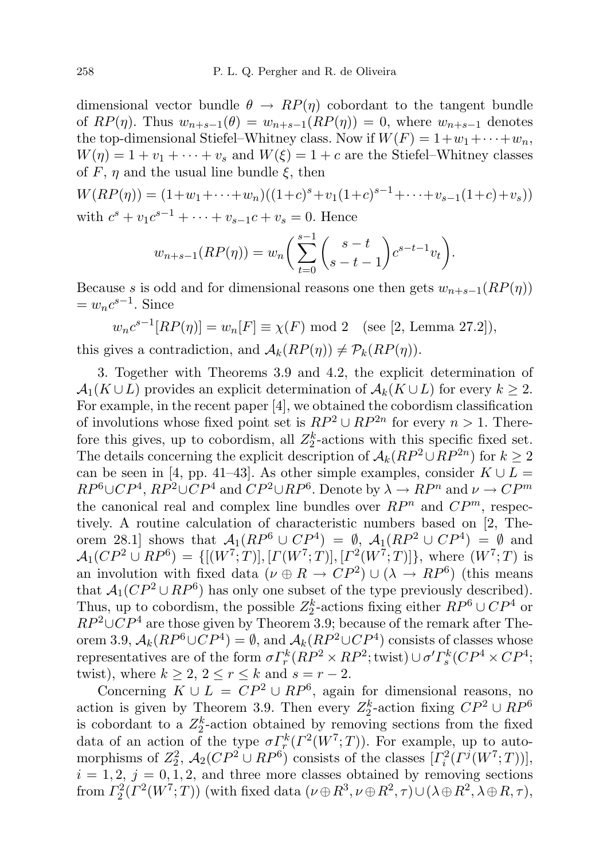dimensional vector bundle  $\theta \rightarrow RP(\eta)$  cobordant to the tangent bundle of  $RP(\eta)$ . Thus  $w_{n+s-1}(\theta) = w_{n+s-1}(RP(\eta)) = 0$ , where  $w_{n+s-1}$  denotes the top-dimensional Stiefel–Whitney class. Now if  $W(F) = 1 + w_1 + \cdots + w_n$ ,  $W(\eta) = 1 + v_1 + \cdots + v_s$  and  $W(\xi) = 1 + c$  are the Stiefel–Whitney classes of F,  $\eta$  and the usual line bundle  $\xi$ , then

$$
W(RP(\eta)) = (1+w_1+\cdots+w_n)((1+c)^s + v_1(1+c)^{s-1}+\cdots+v_{s-1}(1+c)+v_s))
$$
  
with  $c^s + v_1c^{s-1} + \cdots + v_{s-1}c + v_s = 0$ . Hence

$$
w_{n+s-1}(RP(\eta)) = w_n \bigg( \sum_{t=0}^{s-1} {s-t \choose s-t-1} c^{s-t-1} v_t \bigg).
$$

Because s is odd and for dimensional reasons one then gets  $w_{n+s-1}(RP(\eta))$  $= w_n c^{s-1}$ . Since

$$
w_n c^{s-1}[RP(\eta)] = w_n[F] \equiv \chi(F) \mod 2
$$
 (see [2, Lemma 27.2]),

this gives a contradiction, and  $\mathcal{A}_k(RP(\eta)) \neq \mathcal{P}_k(RP(\eta)).$ 

3. Together with Theorems 3.9 and 4.2, the explicit determination of  $\mathcal{A}_1(K \cup L)$  provides an explicit determination of  $\mathcal{A}_k(K \cup L)$  for every  $k \geq 2$ . For example, in the recent paper [4], we obtained the cobordism classification of involutions whose fixed point set is  $RP^2 \cup RP^{2n}$  for every  $n > 1$ . Therefore this gives, up to cobordism, all  $Z_2^k$ -actions with this specific fixed set. The details concerning the explicit description of  $A_k(RP^2 \cup RP^{2n})$  for  $k \geq 2$ can be seen in [4, pp. 41–43]. As other simple examples, consider  $K \cup L =$  $RP^6\cup CP^4$ ,  $RP^2\cup CP^4$  and  $CP^2\cup RP^6$ . Denote by  $\lambda \to RP^n$  and  $\nu \to CP^m$ the canonical real and complex line bundles over  $RP<sup>n</sup>$  and  $CP<sup>m</sup>$ , respectively. A routine calculation of characteristic numbers based on [2, Theorem 28.1] shows that  $A_1(RP^6 \cup CP^4) = \emptyset$ ,  $A_1(RP^2 \cup CP^4) = \emptyset$  and  $\mathcal{A}_1(CP^2 \cup RP^6) = \{[(W^7;T)], [T(W^7;T)], [T^2(W^7;T)]\},$  where  $(W^7;T)$  is an involution with fixed data  $(\nu \oplus R \rightarrow CP^2) \cup (\lambda \rightarrow RP^6)$  (this means that  $A_1(CP^2 \cup RP^6)$  has only one subset of the type previously described). Thus, up to cobordism, the possible  $Z_2^k$ -actions fixing either  $RP^6 \cup CP^4$  or  $RP^2\cup CP^4$  are those given by Theorem 3.9; because of the remark after Theorem 3.9,  $A_k(RP^6\cup CP^4) = \emptyset$ , and  $A_k(RP^2\cup CP^4)$  consists of classes whose representatives are of the form  $\sigma \Gamma_r^k (RP^2 \times RP^2;$  twist $) \cup \sigma' \Gamma_s^k (CP^4 \times CP^4;$ twist), where  $k \geq 2$ ,  $2 \leq r \leq k$  and  $s = r - 2$ .

Concerning  $K \cup L = CP^2 \cup RP^6$ , again for dimensional reasons, no action is given by Theorem 3.9. Then every  $Z_2^k$ -action fixing  $\mathbb{CP}^2 \cup \mathbb{RP}^6$ is cobordant to a  $Z_2^k$ -action obtained by removing sections from the fixed data of an action of the type  $\sigma \Gamma_r^k(\Gamma^2(W^7;T))$ . For example, up to automorphisms of  $Z_2^2$ ,  $\mathcal{A}_2(CP^2 \cup RP^6)$  consists of the classes  $[I_i^2(\Gamma^j(W^7;T))],$  $i = 1, 2, j = 0, 1, 2,$  and three more classes obtained by removing sections from  $\Gamma_2^2(\Gamma^2(W^7;T))$  (with fixed data  $(\nu \oplus R^3, \nu \oplus R^2, \tau) \cup (\lambda \oplus R^2, \lambda \oplus R, \tau)$ ,